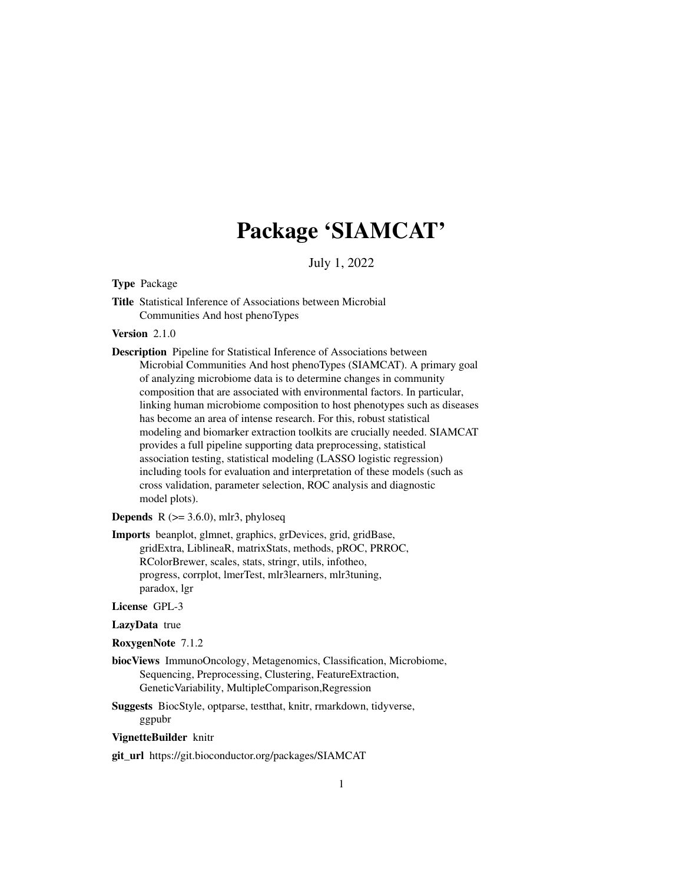# Package 'SIAMCAT'

July 1, 2022

<span id="page-0-0"></span>Type Package

Title Statistical Inference of Associations between Microbial Communities And host phenoTypes

Version 2.1.0

Description Pipeline for Statistical Inference of Associations between Microbial Communities And host phenoTypes (SIAMCAT). A primary goal of analyzing microbiome data is to determine changes in community composition that are associated with environmental factors. In particular, linking human microbiome composition to host phenotypes such as diseases has become an area of intense research. For this, robust statistical modeling and biomarker extraction toolkits are crucially needed. SIAMCAT provides a full pipeline supporting data preprocessing, statistical association testing, statistical modeling (LASSO logistic regression) including tools for evaluation and interpretation of these models (such as cross validation, parameter selection, ROC analysis and diagnostic model plots).

**Depends** R  $(>= 3.6.0)$ , mlr3, phyloseq

Imports beanplot, glmnet, graphics, grDevices, grid, gridBase, gridExtra, LiblineaR, matrixStats, methods, pROC, PRROC, RColorBrewer, scales, stats, stringr, utils, infotheo, progress, corrplot, lmerTest, mlr3learners, mlr3tuning, paradox, lgr

License GPL-3

LazyData true

RoxygenNote 7.1.2

biocViews ImmunoOncology, Metagenomics, Classification, Microbiome, Sequencing, Preprocessing, Clustering, FeatureExtraction, GeneticVariability, MultipleComparison,Regression

Suggests BiocStyle, optparse, testthat, knitr, rmarkdown, tidyverse, ggpubr

VignetteBuilder knitr

git\_url https://git.bioconductor.org/packages/SIAMCAT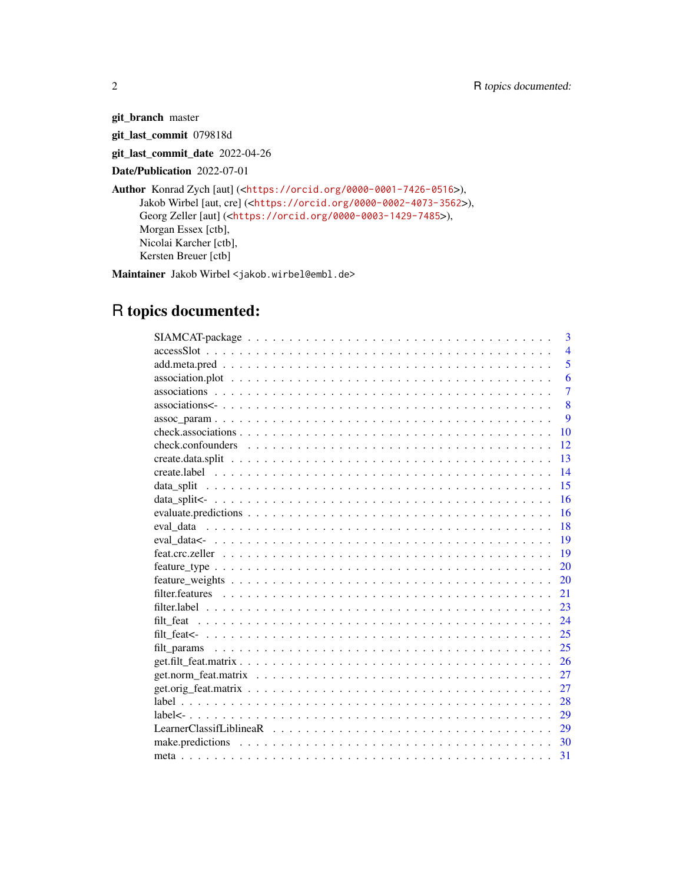git\_branch master

git\_last\_commit 079818d

git\_last\_commit\_date 2022-04-26

Date/Publication 2022-07-01

Author Konrad Zych [aut] (<<https://orcid.org/0000-0001-7426-0516>>), Jakob Wirbel [aut, cre] (<<https://orcid.org/0000-0002-4073-3562>>), Georg Zeller [aut] (<<https://orcid.org/0000-0003-1429-7485>>), Morgan Essex [ctb], Nicolai Karcher [ctb], Kersten Breuer [ctb]

Maintainer Jakob Wirbel <jakob.wirbel@embl.de>

# R topics documented:

| 3              |
|----------------|
| $\overline{4}$ |
| 5              |
| 6              |
| $\overline{7}$ |
| 8              |
| 9              |
| 10             |
| 12             |
| 13             |
| 14             |
| 15             |
| 16             |
| 16             |
| 18             |
| 19             |
| 19             |
| 20             |
| 20             |
| 21             |
| 23             |
| 24             |
| 25             |
| 25             |
| 26             |
| 27             |
| 27             |
| 28             |
| 29             |
| 29             |
|                |
|                |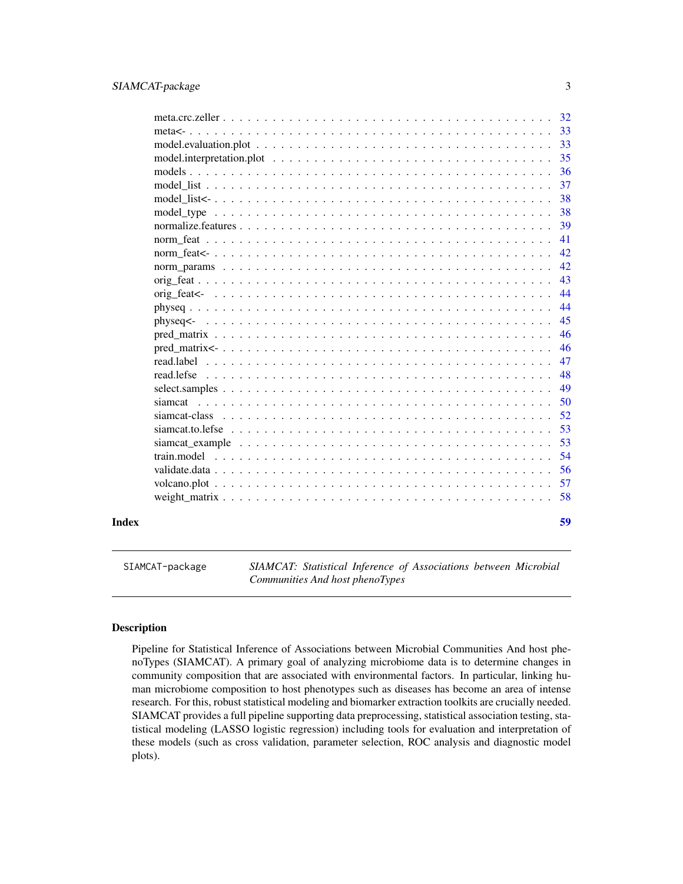<span id="page-2-0"></span>

|                                                                                                                    | -33 |
|--------------------------------------------------------------------------------------------------------------------|-----|
| model.evaluation.plot $\ldots \ldots \ldots \ldots \ldots \ldots \ldots \ldots \ldots \ldots \ldots \ldots \ldots$ | 33  |
|                                                                                                                    | 35  |
|                                                                                                                    | 36  |
|                                                                                                                    | 37  |
|                                                                                                                    | 38  |
|                                                                                                                    | 38  |
|                                                                                                                    | 39  |
|                                                                                                                    | 41  |
|                                                                                                                    | 42  |
|                                                                                                                    | 42  |
|                                                                                                                    | 43  |
|                                                                                                                    | 44  |
|                                                                                                                    | 44  |
|                                                                                                                    | 45  |
|                                                                                                                    | 46  |
|                                                                                                                    | 46  |
|                                                                                                                    | 47  |
|                                                                                                                    | 48  |
|                                                                                                                    | 49  |
|                                                                                                                    | 50  |
|                                                                                                                    | 52  |
|                                                                                                                    | 53  |
|                                                                                                                    | 53  |
|                                                                                                                    | 54  |
|                                                                                                                    | 56  |
|                                                                                                                    | 57  |
|                                                                                                                    | 58  |
|                                                                                                                    | 59  |

SIAMCAT-package *SIAMCAT: Statistical Inference of Associations between Microbial Communities And host phenoTypes*

#### Description

Pipeline for Statistical Inference of Associations between Microbial Communities And host phenoTypes (SIAMCAT). A primary goal of analyzing microbiome data is to determine changes in community composition that are associated with environmental factors. In particular, linking human microbiome composition to host phenotypes such as diseases has become an area of intense research. For this, robust statistical modeling and biomarker extraction toolkits are crucially needed. SIAMCAT provides a full pipeline supporting data preprocessing, statistical association testing, statistical modeling (LASSO logistic regression) including tools for evaluation and interpretation of these models (such as cross validation, parameter selection, ROC analysis and diagnostic model plots).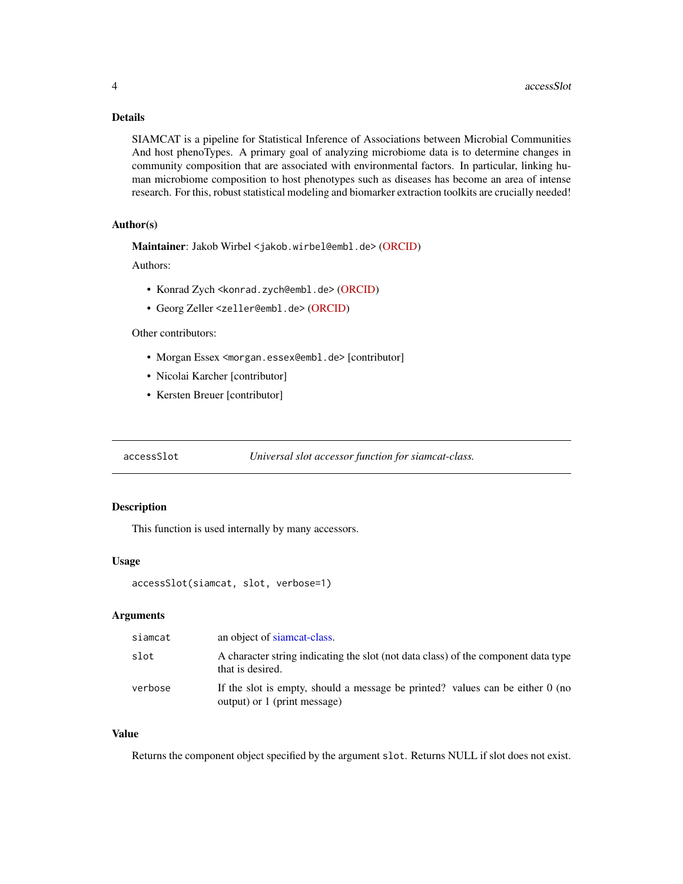# <span id="page-3-0"></span>Details

SIAMCAT is a pipeline for Statistical Inference of Associations between Microbial Communities And host phenoTypes. A primary goal of analyzing microbiome data is to determine changes in community composition that are associated with environmental factors. In particular, linking human microbiome composition to host phenotypes such as diseases has become an area of intense research. For this, robust statistical modeling and biomarker extraction toolkits are crucially needed!

# Author(s)

Maintainer: Jakob Wirbel <jakob.wirbel@embl.de> [\(ORCID\)](https://orcid.org/0000-0002-4073-3562)

Authors:

- Konrad Zych <konrad.zych@embl.de> [\(ORCID\)](https://orcid.org/0000-0001-7426-0516)
- Georg Zeller <zeller@embl.de> [\(ORCID\)](https://orcid.org/0000-0003-1429-7485)

#### Other contributors:

- Morgan Essex <morgan.essex@embl.de>[contributor]
- Nicolai Karcher [contributor]
- Kersten Breuer [contributor]

accessSlot *Universal slot accessor function for siamcat-class.*

#### Description

This function is used internally by many accessors.

# Usage

```
accessSlot(siamcat, slot, verbose=1)
```
#### Arguments

| siamcat | an object of siame at-class.                                                                                  |
|---------|---------------------------------------------------------------------------------------------------------------|
| slot    | A character string indicating the slot (not data class) of the component data type<br>that is desired.        |
| verbose | If the slot is empty, should a message be printed? values can be either 0 (no<br>output) or 1 (print message) |

#### Value

Returns the component object specified by the argument slot. Returns NULL if slot does not exist.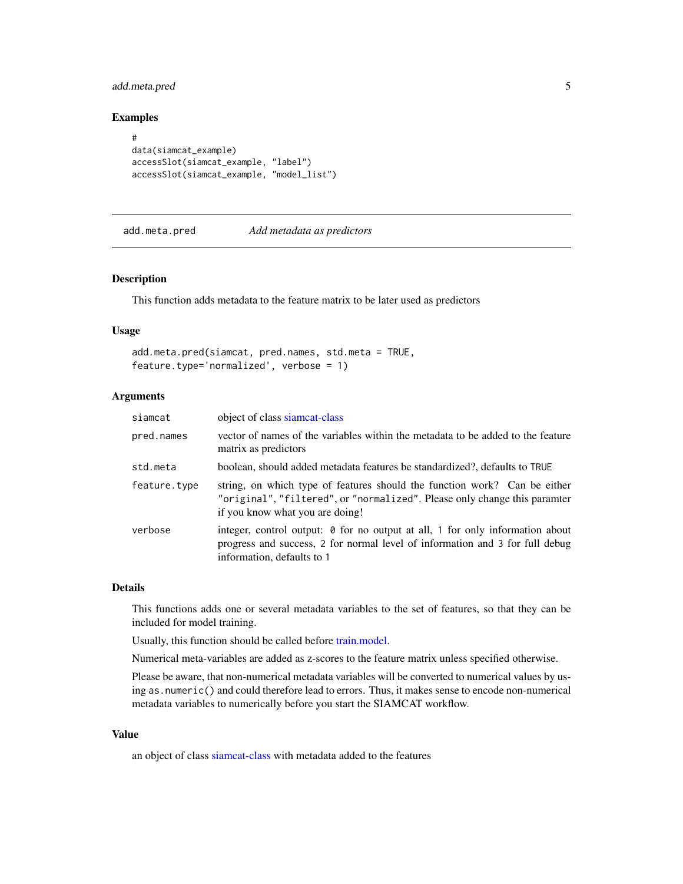# <span id="page-4-0"></span>add.meta.pred 5

# Examples

```
#
data(siamcat_example)
accessSlot(siamcat_example, "label")
accessSlot(siamcat_example, "model_list")
```
add.meta.pred *Add metadata as predictors*

#### Description

This function adds metadata to the feature matrix to be later used as predictors

# Usage

```
add.meta.pred(siamcat, pred.names, std.meta = TRUE,
feature.type='normalized', verbose = 1)
```
#### Arguments

| siamcat      | object of class siamcat-class                                                                                                                                                                      |
|--------------|----------------------------------------------------------------------------------------------------------------------------------------------------------------------------------------------------|
| pred.names   | vector of names of the variables within the metadata to be added to the feature<br>matrix as predictors                                                                                            |
| std.meta     | boolean, should added metadata features be standardized?, defaults to TRUE                                                                                                                         |
| feature.type | string, on which type of features should the function work? Can be either<br>"original", "filtered", or "normalized". Please only change this paramter<br>if you know what you are doing!          |
| verbose      | integer, control output: $\theta$ for no output at all, 1 for only information about<br>progress and success, 2 for normal level of information and 3 for full debug<br>information, defaults to 1 |

#### Details

This functions adds one or several metadata variables to the set of features, so that they can be included for model training.

Usually, this function should be called before [train.model.](#page-53-1)

Numerical meta-variables are added as z-scores to the feature matrix unless specified otherwise.

Please be aware, that non-numerical metadata variables will be converted to numerical values by using as.numeric() and could therefore lead to errors. Thus, it makes sense to encode non-numerical metadata variables to numerically before you start the SIAMCAT workflow.

# Value

an object of class [siamcat-class](#page-51-1) with metadata added to the features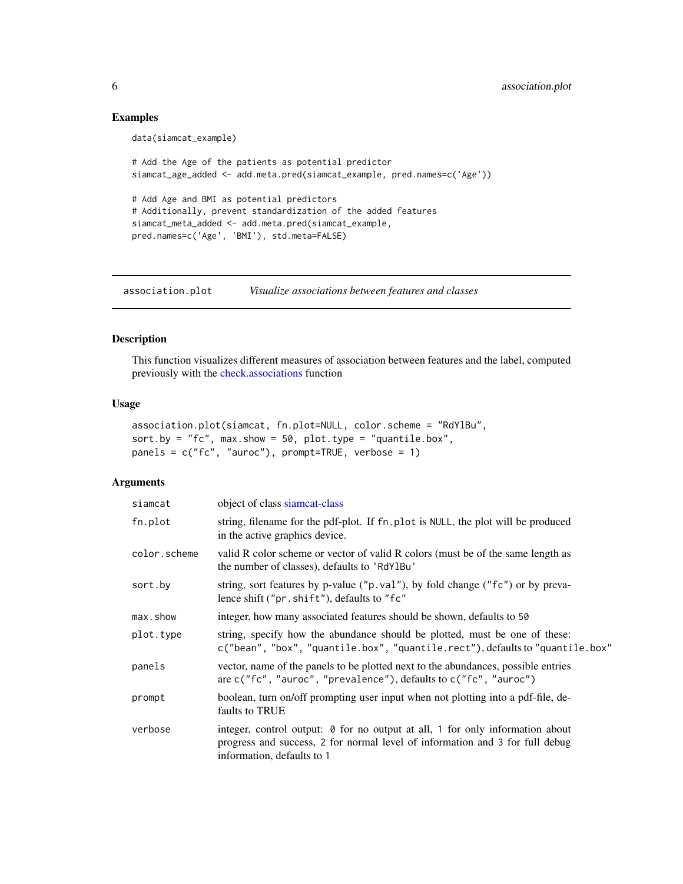#### Examples

```
data(siamcat_example)
# Add the Age of the patients as potential predictor
siamcat_age_added <- add.meta.pred(siamcat_example, pred.names=c('Age'))
# Add Age and BMI as potential predictors
# Additionally, prevent standardization of the added features
siamcat_meta_added <- add.meta.pred(siamcat_example,
pred.names=c('Age', 'BMI'), std.meta=FALSE)
```
association.plot *Visualize associations between features and classes*

# Description

This function visualizes different measures of association between features and the label, computed previously with the [check.associations](#page-9-1) function

# Usage

```
association.plot(siamcat, fn.plot=NULL, color.scheme = "RdYlBu",
sort.by = "fc", max.show = 50, plot.type = "quantile.box",
panels = c("fc", "auroc"), prompt=TRUE, verbose = 1)
```
#### Arguments

| siamcat      | object of class siamcat-class                                                                                                                                                               |
|--------------|---------------------------------------------------------------------------------------------------------------------------------------------------------------------------------------------|
| fn.plot      | string, filename for the pdf-plot. If fn. plot is NULL, the plot will be produced<br>in the active graphics device.                                                                         |
| color.scheme | valid R color scheme or vector of valid R colors (must be of the same length as<br>the number of classes), defaults to 'RdYlBu'                                                             |
| sort.by      | string, sort features by p-value ("p.val"), by fold change ("fc") or by preva-<br>lence shift ("pr. shift"), defaults to "fc"                                                               |
| max.show     | integer, how many associated features should be shown, defaults to 50                                                                                                                       |
| plot.type    | string, specify how the abundance should be plotted, must be one of these:<br>c("bean", "box", "quantile.box", "quantile.rect"), defaults to "quantile.box"                                 |
| panels       | vector, name of the panels to be plotted next to the abundances, possible entries<br>are c("fc", "auroc", "prevalence"), defaults to c("fc", "auroc")                                       |
| prompt       | boolean, turn on/off prompting user input when not plotting into a pdf-file, de-<br>faults to TRUE                                                                                          |
| verbose      | integer, control output: 0 for no output at all, 1 for only information about<br>progress and success, 2 for normal level of information and 3 for full debug<br>information, defaults to 1 |

<span id="page-5-0"></span>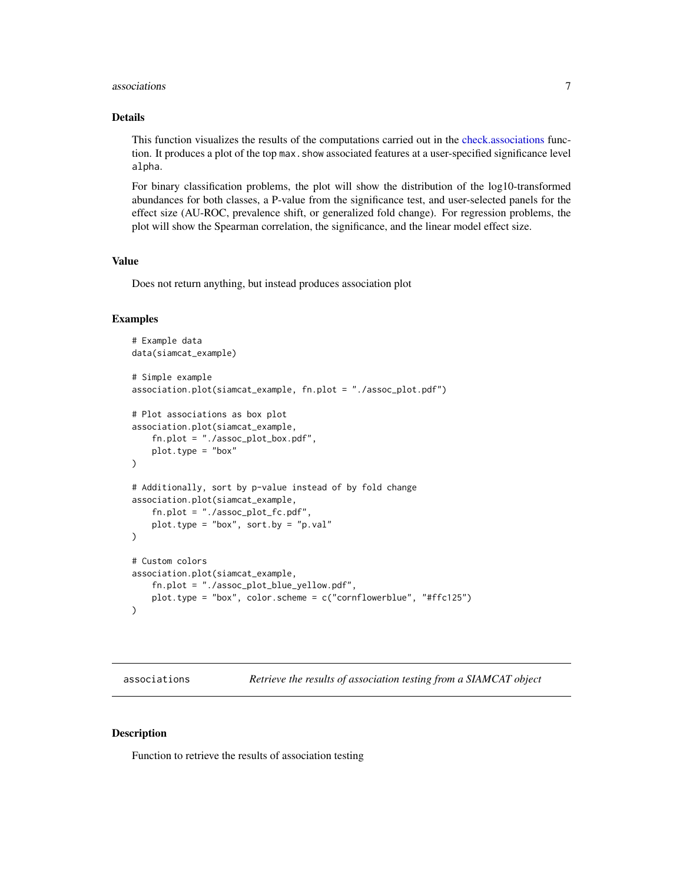#### <span id="page-6-0"></span>associations **7**

# Details

This function visualizes the results of the computations carried out in the [check.associations](#page-9-1) function. It produces a plot of the top max. show associated features at a user-specified significance level alpha.

For binary classification problems, the plot will show the distribution of the log10-transformed abundances for both classes, a P-value from the significance test, and user-selected panels for the effect size (AU-ROC, prevalence shift, or generalized fold change). For regression problems, the plot will show the Spearman correlation, the significance, and the linear model effect size.

# Value

Does not return anything, but instead produces association plot

# Examples

```
# Example data
data(siamcat_example)
# Simple example
association.plot(siamcat_example, fn.plot = "./assoc_plot.pdf")
# Plot associations as box plot
association.plot(siamcat_example,
    fn.plot = "./assoc_plot_box.pdf",
    plot.type = "box"
\lambda# Additionally, sort by p-value instead of by fold change
association.plot(siamcat_example,
    fn.plot = "./assoc_plot_fc.pdf",
    plot.type = "box", sort.by = "p.val"
)
# Custom colors
association.plot(siamcat_example,
    fn.plot = "./assoc_plot_blue_yellow.pdf",
    plot.type = "box", color.scheme = c("cornflowerblue", "#ffc125")
\lambda
```
associations *Retrieve the results of association testing from a SIAMCAT object*

#### **Description**

Function to retrieve the results of association testing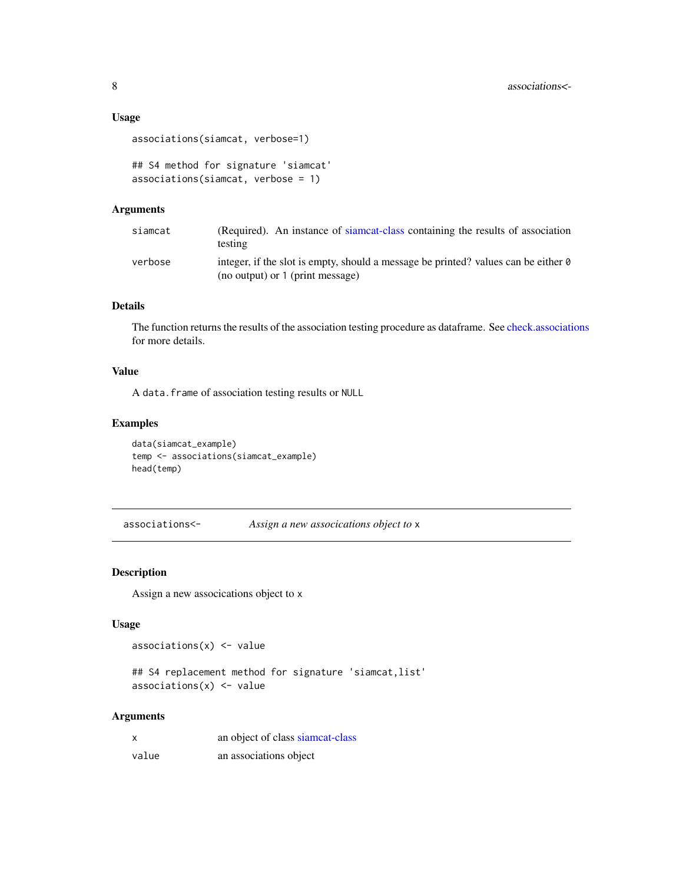#### <span id="page-7-0"></span>Usage

```
associations(siamcat, verbose=1)
```

```
## S4 method for signature 'siamcat'
associations(siamcat, verbose = 1)
```
# Arguments

| siamcat | (Required). An instance of siamcat-class containing the results of association<br>testing                              |
|---------|------------------------------------------------------------------------------------------------------------------------|
| verbose | integer, if the slot is empty, should a message be printed? values can be either 0<br>(no output) or 1 (print message) |

# Details

The function returns the results of the association testing procedure as dataframe. See [check.associations](#page-9-1) for more details.

#### Value

A data.frame of association testing results or NULL

# Examples

```
data(siamcat_example)
temp <- associations(siamcat_example)
head(temp)
```
associations<- *Assign a new assocications object to* x

# Description

Assign a new assocications object to x

#### Usage

associations $(x)$  <- value

## S4 replacement method for signature 'siamcat,list'  $associations(x) < - value$ 

#### Arguments

| x     | an object of class siamcat-class |
|-------|----------------------------------|
| value | an associations object           |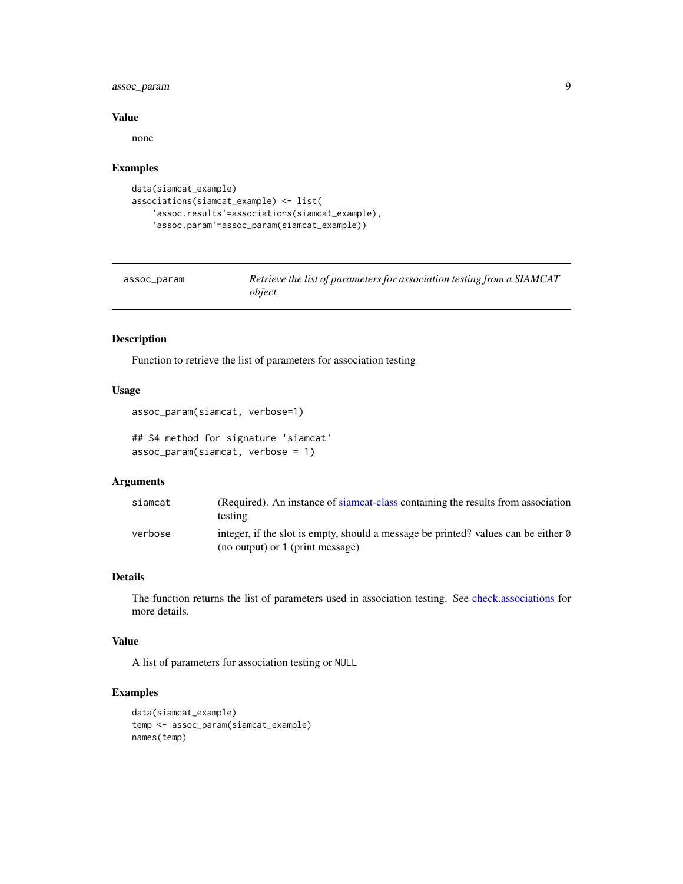# <span id="page-8-0"></span>assoc\_param 9

#### Value

none

#### Examples

```
data(siamcat_example)
associations(siamcat_example) <- list(
    'assoc.results'=associations(siamcat_example),
    'assoc.param'=assoc_param(siamcat_example))
```

| assoc_param | Retrieve the list of parameters for association testing from a SIAMCAT |
|-------------|------------------------------------------------------------------------|
|             | object                                                                 |

# Description

Function to retrieve the list of parameters for association testing

#### Usage

```
assoc_param(siamcat, verbose=1)
```

```
## S4 method for signature 'siamcat'
assoc_param(siamcat, verbose = 1)
```
# Arguments

| siamcat | (Required). An instance of siamcat-class containing the results from association<br>testing                            |
|---------|------------------------------------------------------------------------------------------------------------------------|
| verbose | integer, if the slot is empty, should a message be printed? values can be either 0<br>(no output) or 1 (print message) |

# Details

The function returns the list of parameters used in association testing. See [check.associations](#page-9-1) for more details.

#### Value

A list of parameters for association testing or NULL

```
data(siamcat_example)
temp <- assoc_param(siamcat_example)
names(temp)
```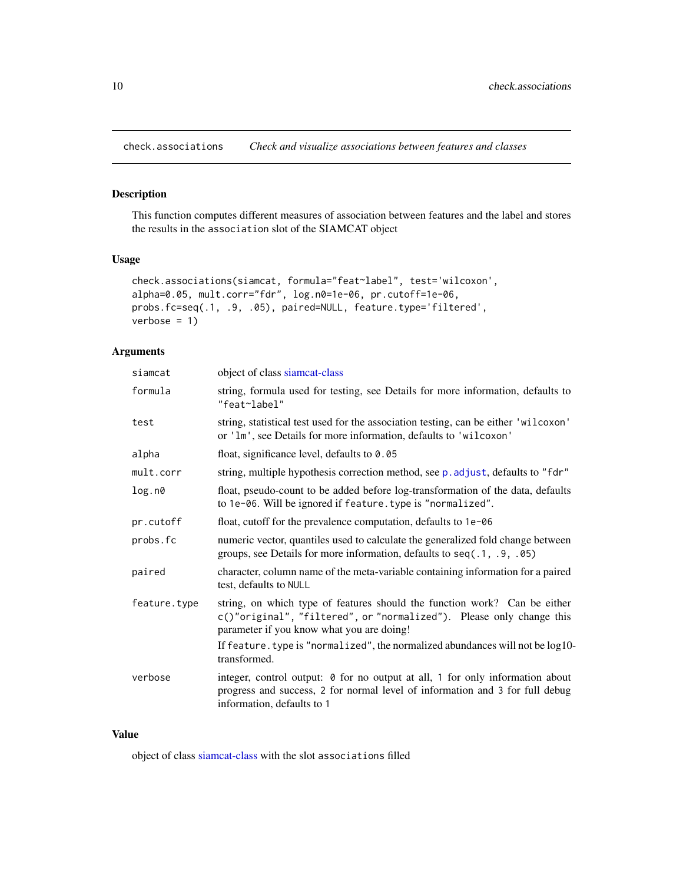<span id="page-9-1"></span><span id="page-9-0"></span>check.associations *Check and visualize associations between features and classes*

#### Description

This function computes different measures of association between features and the label and stores the results in the association slot of the SIAMCAT object

# Usage

```
check.associations(siamcat, formula="feat~label", test='wilcoxon',
alpha=0.05, mult.corr="fdr", log.n0=1e-06, pr.cutoff=1e-06,
probs.fc=seq(.1, .9, .05), paired=NULL, feature.type='filtered',
verbose = 1)
```
# Arguments

| siamcat      | object of class siamcat-class                                                                                                                                                                  |
|--------------|------------------------------------------------------------------------------------------------------------------------------------------------------------------------------------------------|
| formula      | string, formula used for testing, see Details for more information, defaults to<br>"feat~label"                                                                                                |
| test         | string, statistical test used for the association testing, can be either 'wilcoxon'<br>or '1m', see Details for more information, defaults to 'wilcoxon'                                       |
| alpha        | float, significance level, defaults to 0.05                                                                                                                                                    |
| mult.corr    | string, multiple hypothesis correction method, see p. adjust, defaults to "fdr"                                                                                                                |
| log.n0       | float, pseudo-count to be added before log-transformation of the data, defaults<br>to 1e-06. Will be ignored if feature. type is "normalized".                                                 |
| pr.cutoff    | float, cutoff for the prevalence computation, defaults to 1e-06                                                                                                                                |
| probs.fc     | numeric vector, quantiles used to calculate the generalized fold change between<br>groups, see Details for more information, defaults to seq(.1, .9, .05)                                      |
| paired       | character, column name of the meta-variable containing information for a paired<br>test, defaults to NULL                                                                                      |
| feature.type | string, on which type of features should the function work? Can be either<br>c()"original", "filtered", or "normalized"). Please only change this<br>parameter if you know what you are doing! |
|              | If feature. type is "normalized", the normalized abundances will not be $log 10$ -<br>transformed.                                                                                             |
| verbose      | integer, control output: 0 for no output at all, 1 for only information about<br>progress and success, 2 for normal level of information and 3 for full debug<br>information, defaults to 1    |

# Value

object of class [siamcat-class](#page-51-1) with the slot associations filled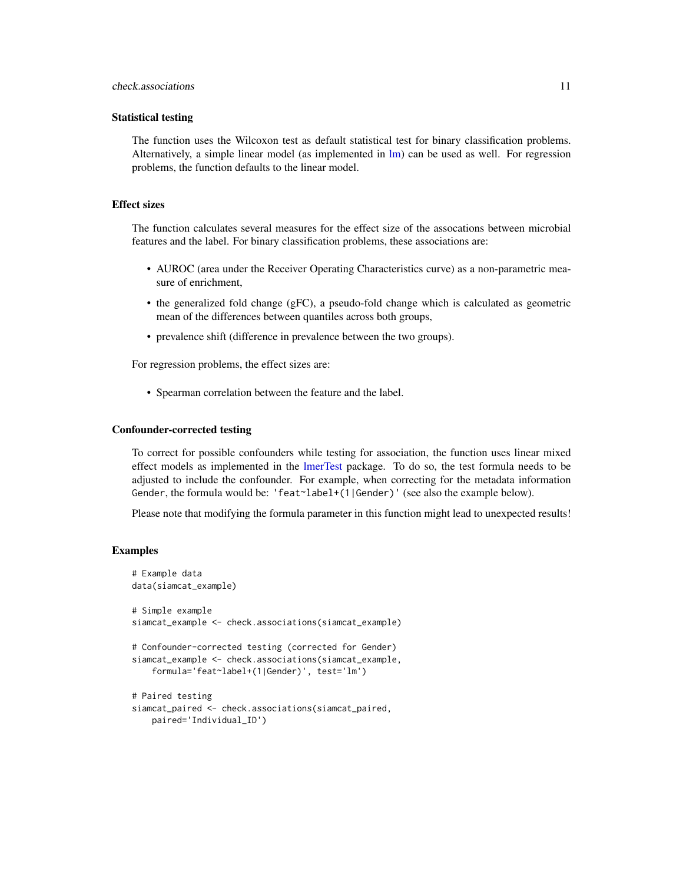#### <span id="page-10-0"></span>Statistical testing

The function uses the Wilcoxon test as default statistical test for binary classification problems. Alternatively, a simple linear model (as implemented in  $lm$ ) can be used as well. For regression problems, the function defaults to the linear model.

#### Effect sizes

The function calculates several measures for the effect size of the assocations between microbial features and the label. For binary classification problems, these associations are:

- AUROC (area under the Receiver Operating Characteristics curve) as a non-parametric measure of enrichment,
- the generalized fold change (gFC), a pseudo-fold change which is calculated as geometric mean of the differences between quantiles across both groups,
- prevalence shift (difference in prevalence between the two groups).

For regression problems, the effect sizes are:

• Spearman correlation between the feature and the label.

#### Confounder-corrected testing

To correct for possible confounders while testing for association, the function uses linear mixed effect models as implemented in the [lmerTest](#page-0-0) package. To do so, the test formula needs to be adjusted to include the confounder. For example, when correcting for the metadata information Gender, the formula would be: 'feat~label+(1|Gender)' (see also the example below).

Please note that modifying the formula parameter in this function might lead to unexpected results!

```
# Example data
data(siamcat_example)
# Simple example
siamcat_example <- check.associations(siamcat_example)
# Confounder-corrected testing (corrected for Gender)
siamcat_example <- check.associations(siamcat_example,
   formula='feat~label+(1|Gender)', test='lm')
# Paired testing
siamcat_paired <- check.associations(siamcat_paired,
   paired='Individual_ID')
```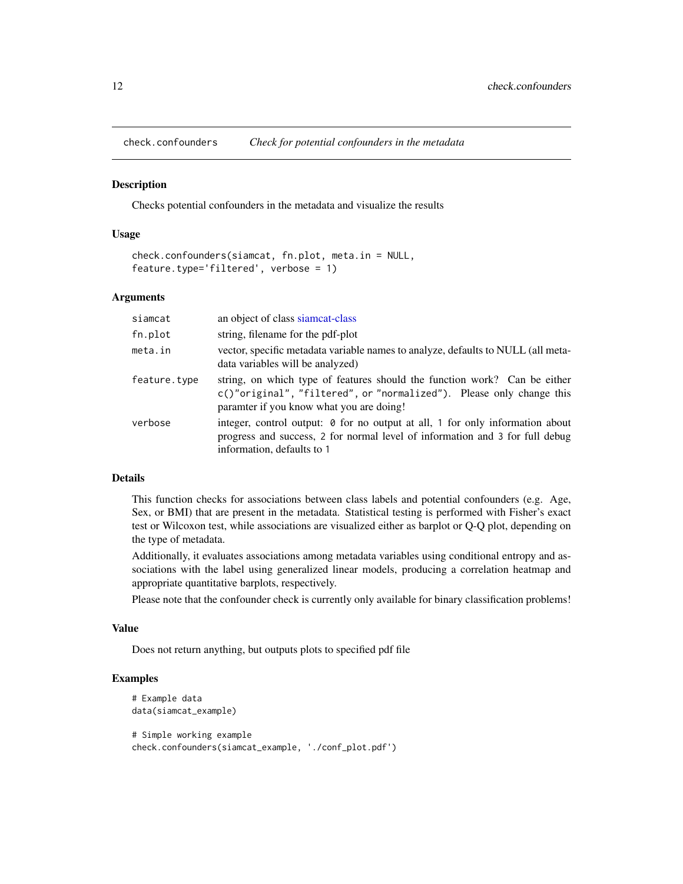<span id="page-11-0"></span>

Checks potential confounders in the metadata and visualize the results

#### Usage

```
check.confounders(siamcat, fn.plot, meta.in = NULL,
feature.type='filtered', verbose = 1)
```
#### Arguments

| siamcat      | an object of class siamcat-class                                                                                                                                                                   |
|--------------|----------------------------------------------------------------------------------------------------------------------------------------------------------------------------------------------------|
| fn.plot      | string, filename for the pdf-plot                                                                                                                                                                  |
| meta.in      | vector, specific metadata variable names to analyze, defaults to NULL (all meta-<br>data variables will be analyzed)                                                                               |
| feature.type | string, on which type of features should the function work? Can be either<br>c()"original", "filtered", or "normalized"). Please only change this<br>paramter if you know what you are doing!      |
| verbose      | integer, control output: $\theta$ for no output at all, 1 for only information about<br>progress and success, 2 for normal level of information and 3 for full debug<br>information, defaults to 1 |

# Details

This function checks for associations between class labels and potential confounders (e.g. Age, Sex, or BMI) that are present in the metadata. Statistical testing is performed with Fisher's exact test or Wilcoxon test, while associations are visualized either as barplot or Q-Q plot, depending on the type of metadata.

Additionally, it evaluates associations among metadata variables using conditional entropy and associations with the label using generalized linear models, producing a correlation heatmap and appropriate quantitative barplots, respectively.

Please note that the confounder check is currently only available for binary classification problems!

#### Value

Does not return anything, but outputs plots to specified pdf file

```
# Example data
data(siamcat_example)
# Simple working example
check.confounders(siamcat_example, './conf_plot.pdf')
```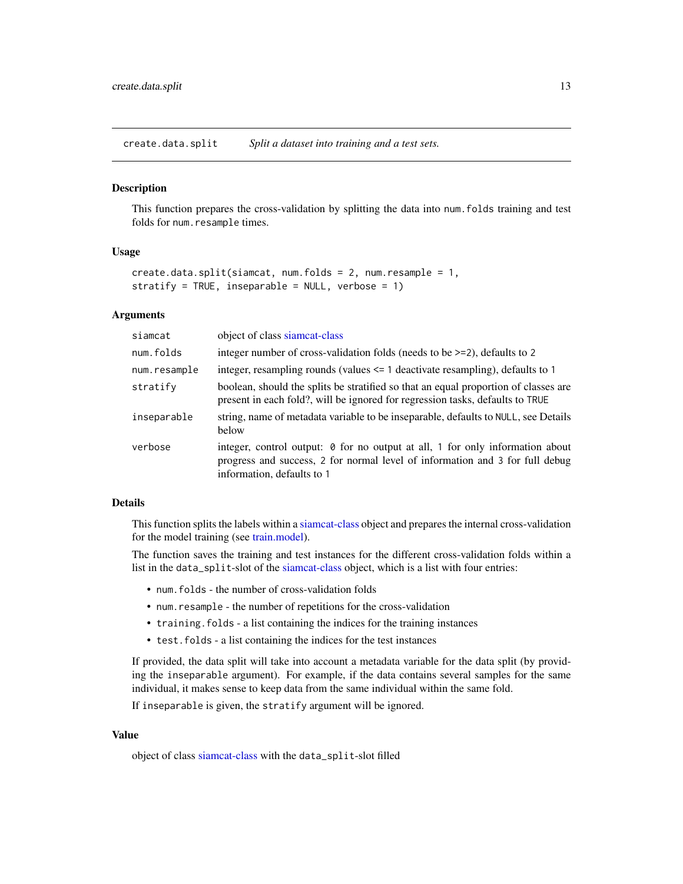<span id="page-12-1"></span><span id="page-12-0"></span>create.data.split *Split a dataset into training and a test sets.*

#### **Description**

This function prepares the cross-validation by splitting the data into num.folds training and test folds for num.resample times.

#### Usage

```
create.data.split(siamcat, num.folds = 2, num.resample = 1,
stratify = TRUE, inseparable = NULL, verbose = 1)
```
#### Arguments

| siamcat      | object of class siamcat-class                                                                                                                                                                      |
|--------------|----------------------------------------------------------------------------------------------------------------------------------------------------------------------------------------------------|
| num.folds    | integer number of cross-validation folds (needs to be $\ge$ =2), defaults to 2                                                                                                                     |
| num.resample | integer, resampling rounds (values $\leq$ 1 deactivate resampling), defaults to 1                                                                                                                  |
| stratify     | boolean, should the splits be stratified so that an equal proportion of classes are<br>present in each fold?, will be ignored for regression tasks, defaults to TRUE                               |
| inseparable  | string, name of metadata variable to be inseparable, defaults to NULL, see Details<br>below                                                                                                        |
| verbose      | integer, control output: $\theta$ for no output at all, 1 for only information about<br>progress and success, 2 for normal level of information and 3 for full debug<br>information, defaults to 1 |

# Details

This function splits the labels within a [siamcat-class](#page-51-1) object and prepares the internal cross-validation for the model training (see [train.model\)](#page-53-1).

The function saves the training and test instances for the different cross-validation folds within a list in the data\_split-slot of the [siamcat-class](#page-51-1) object, which is a list with four entries:

- num.folds the number of cross-validation folds
- num.resample the number of repetitions for the cross-validation
- training.folds a list containing the indices for the training instances
- test.folds a list containing the indices for the test instances

If provided, the data split will take into account a metadata variable for the data split (by providing the inseparable argument). For example, if the data contains several samples for the same individual, it makes sense to keep data from the same individual within the same fold.

If inseparable is given, the stratify argument will be ignored.

#### Value

object of class [siamcat-class](#page-51-1) with the data\_split-slot filled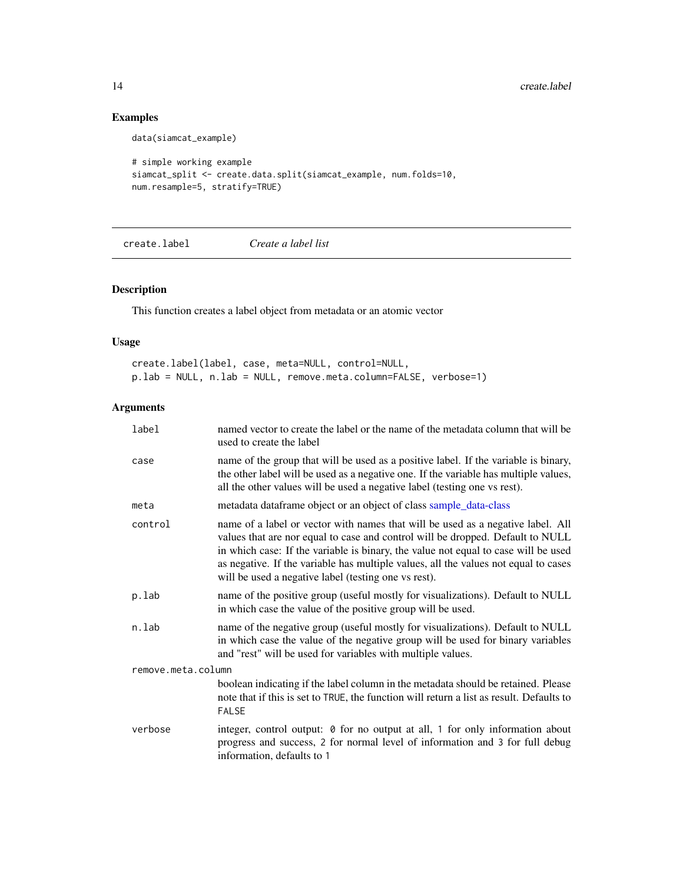# Examples

```
data(siamcat_example)
```

```
# simple working example
siamcat_split <- create.data.split(siamcat_example, num.folds=10,
num.resample=5, stratify=TRUE)
```
<span id="page-13-1"></span>create.label *Create a label list*

# Description

This function creates a label object from metadata or an atomic vector

# Usage

create.label(label, case, meta=NULL, control=NULL, p.lab = NULL, n.lab = NULL, remove.meta.column=FALSE, verbose=1)

# Arguments

| label              | named vector to create the label or the name of the metadata column that will be<br>used to create the label                                                                                                                                                                                                                                                                                           |
|--------------------|--------------------------------------------------------------------------------------------------------------------------------------------------------------------------------------------------------------------------------------------------------------------------------------------------------------------------------------------------------------------------------------------------------|
| case               | name of the group that will be used as a positive label. If the variable is binary,<br>the other label will be used as a negative one. If the variable has multiple values,<br>all the other values will be used a negative label (testing one vs rest).                                                                                                                                               |
| meta               | metadata dataframe object or an object of class sample_data-class                                                                                                                                                                                                                                                                                                                                      |
| control            | name of a label or vector with names that will be used as a negative label. All<br>values that are nor equal to case and control will be dropped. Default to NULL<br>in which case: If the variable is binary, the value not equal to case will be used<br>as negative. If the variable has multiple values, all the values not equal to cases<br>will be used a negative label (testing one vs rest). |
| p.lab              | name of the positive group (useful mostly for visualizations). Default to NULL<br>in which case the value of the positive group will be used.                                                                                                                                                                                                                                                          |
| n.lab              | name of the negative group (useful mostly for visualizations). Default to NULL<br>in which case the value of the negative group will be used for binary variables<br>and "rest" will be used for variables with multiple values.                                                                                                                                                                       |
| remove.meta.column |                                                                                                                                                                                                                                                                                                                                                                                                        |
|                    | boolean indicating if the label column in the metadata should be retained. Please<br>note that if this is set to TRUE, the function will return a list as result. Defaults to<br><b>FALSE</b>                                                                                                                                                                                                          |
| verbose            | integer, control output: 0 for no output at all, 1 for only information about<br>progress and success, 2 for normal level of information and 3 for full debug<br>information, defaults to 1                                                                                                                                                                                                            |

<span id="page-13-0"></span>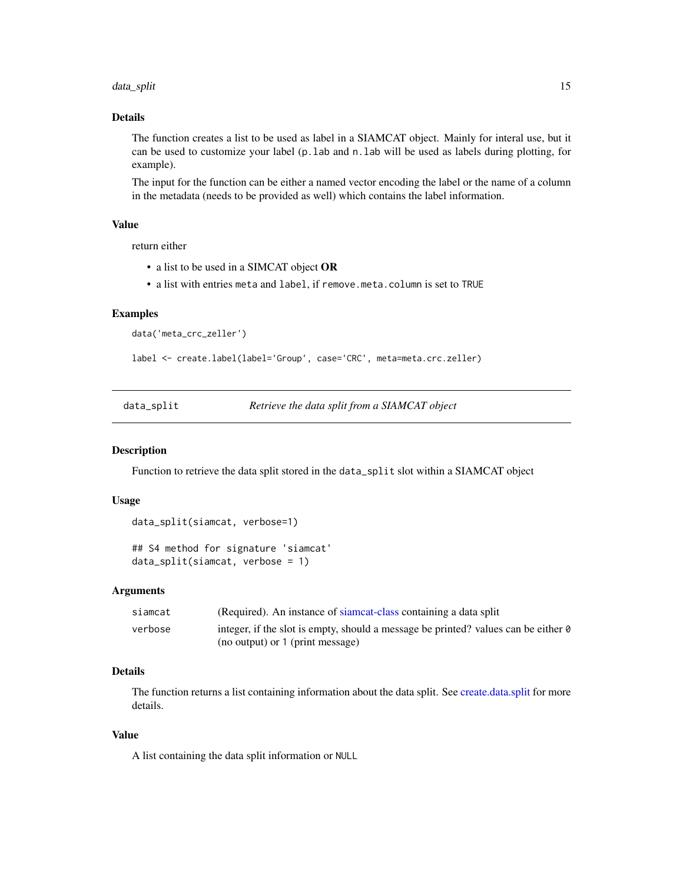#### <span id="page-14-0"></span>data\_split 15

# Details

The function creates a list to be used as label in a SIAMCAT object. Mainly for interal use, but it can be used to customize your label (p.lab and n.lab will be used as labels during plotting, for example).

The input for the function can be either a named vector encoding the label or the name of a column in the metadata (needs to be provided as well) which contains the label information.

# Value

return either

- a list to be used in a SIMCAT object OR
- a list with entries meta and label, if remove.meta.column is set to TRUE

# Examples

data('meta\_crc\_zeller')

```
label <- create.label(label='Group', case='CRC', meta=meta.crc.zeller)
```
data\_split *Retrieve the data split from a SIAMCAT object*

#### Description

Function to retrieve the data split stored in the data\_split slot within a SIAMCAT object

#### Usage

```
data_split(siamcat, verbose=1)
```

```
## S4 method for signature 'siamcat'
data_split(siamcat, verbose = 1)
```
#### Arguments

| siamcat | (Required). An instance of siamcat-class containing a data split                          |
|---------|-------------------------------------------------------------------------------------------|
| verbose | integer, if the slot is empty, should a message be printed? values can be either $\theta$ |
|         | (no output) or 1 (print message)                                                          |

# Details

The function returns a list containing information about the data split. See [create.data.split](#page-12-1) for more details.

# Value

A list containing the data split information or NULL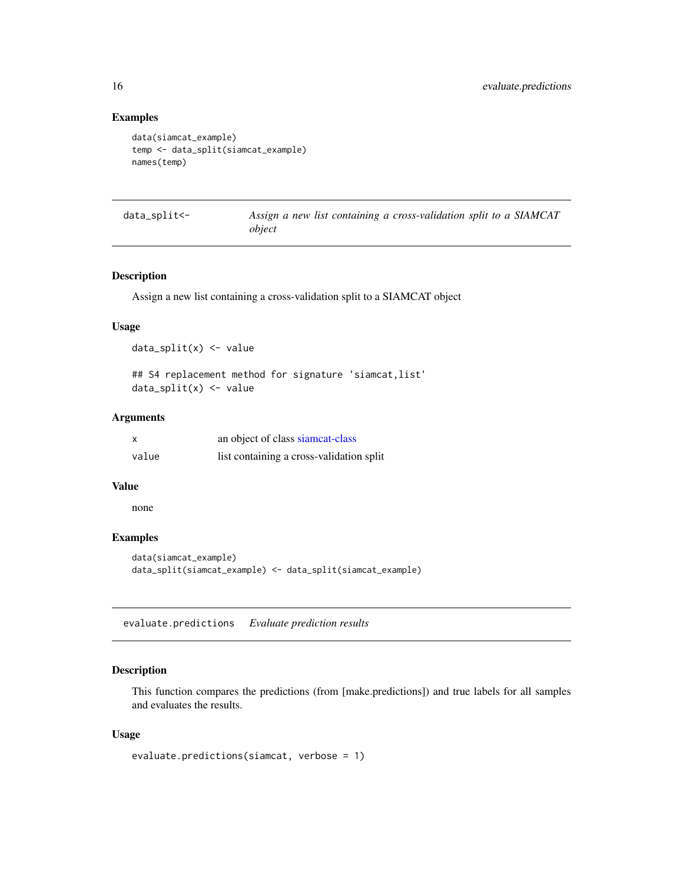# Examples

```
data(siamcat_example)
temp <- data_split(siamcat_example)
names(temp)
```

| data_split<- | Assign a new list containing a cross-validation split to a SIAMCAT |
|--------------|--------------------------------------------------------------------|
|              | object                                                             |

# Description

Assign a new list containing a cross-validation split to a SIAMCAT object

#### Usage

```
data_split(x) <- value
```
## S4 replacement method for signature 'siamcat,list' data\_split(x) <- value

# Arguments

| X     | an object of class siamcat-class         |
|-------|------------------------------------------|
| value | list containing a cross-validation split |

#### Value

none

# Examples

```
data(siamcat_example)
data_split(siamcat_example) <- data_split(siamcat_example)
```
<span id="page-15-1"></span>evaluate.predictions *Evaluate prediction results*

# Description

This function compares the predictions (from [make.predictions]) and true labels for all samples and evaluates the results.

#### Usage

```
evaluate.predictions(siamcat, verbose = 1)
```
<span id="page-15-0"></span>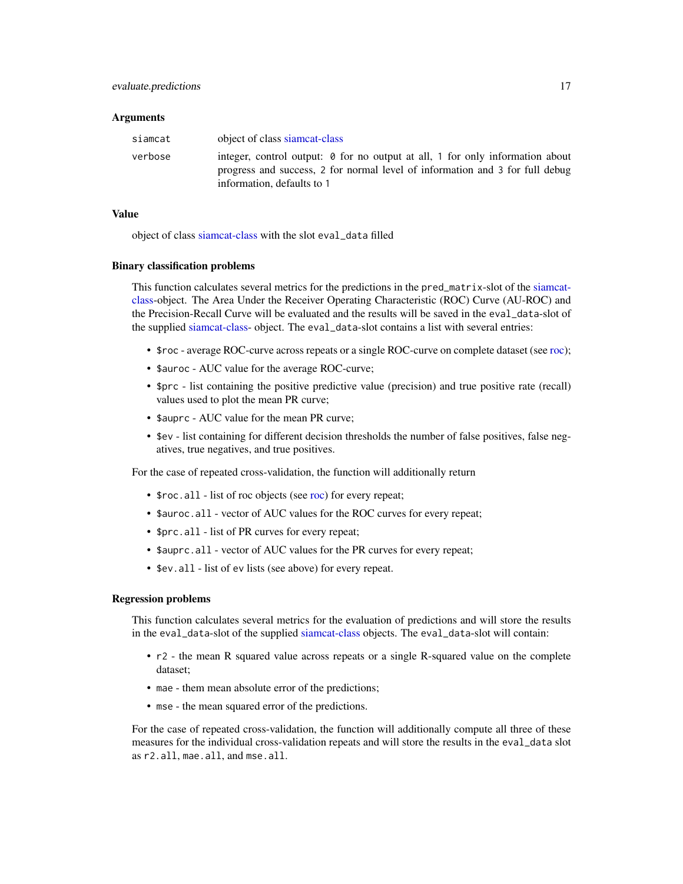#### <span id="page-16-0"></span>**Arguments**

| siamcat | object of class siamcat-class                                                                                                                                                               |
|---------|---------------------------------------------------------------------------------------------------------------------------------------------------------------------------------------------|
| verbose | integer, control output: 0 for no output at all, 1 for only information about<br>progress and success, 2 for normal level of information and 3 for full debug<br>information, defaults to 1 |

#### Value

object of class [siamcat-class](#page-51-1) with the slot eval\_data filled

#### Binary classification problems

This function calculates several metrics for the predictions in the pred\_matrix-slot of the [siamcat](#page-51-1)[class-](#page-51-1)object. The Area Under the Receiver Operating Characteristic (ROC) Curve (AU-ROC) and the Precision-Recall Curve will be evaluated and the results will be saved in the eval\_data-slot of the supplied [siamcat-class-](#page-51-1) object. The eval\_data-slot contains a list with several entries:

- \$roc average ROC-curve across repeats or a single ROC-curve on complete dataset (see [roc\)](#page-0-0);
- \$auroc AUC value for the average ROC-curve;
- \$prc list containing the positive predictive value (precision) and true positive rate (recall) values used to plot the mean PR curve;
- \$auprc AUC value for the mean PR curve;
- \$ev list containing for different decision thresholds the number of false positives, false negatives, true negatives, and true positives.

For the case of repeated cross-validation, the function will additionally return

- \$roc.all list of roc objects (see [roc\)](#page-0-0) for every repeat;
- \$auroc.all vector of AUC values for the ROC curves for every repeat;
- \$prc.all list of PR curves for every repeat;
- \$auprc.all vector of AUC values for the PR curves for every repeat;
- \$ev.all list of ev lists (see above) for every repeat.

#### Regression problems

This function calculates several metrics for the evaluation of predictions and will store the results in the eval\_data-slot of the supplied [siamcat-class](#page-51-1) objects. The eval\_data-slot will contain:

- r2 the mean R squared value across repeats or a single R-squared value on the complete dataset;
- mae them mean absolute error of the predictions;
- mse the mean squared error of the predictions.

For the case of repeated cross-validation, the function will additionally compute all three of these measures for the individual cross-validation repeats and will store the results in the eval\_data slot as r2.all, mae.all, and mse.all.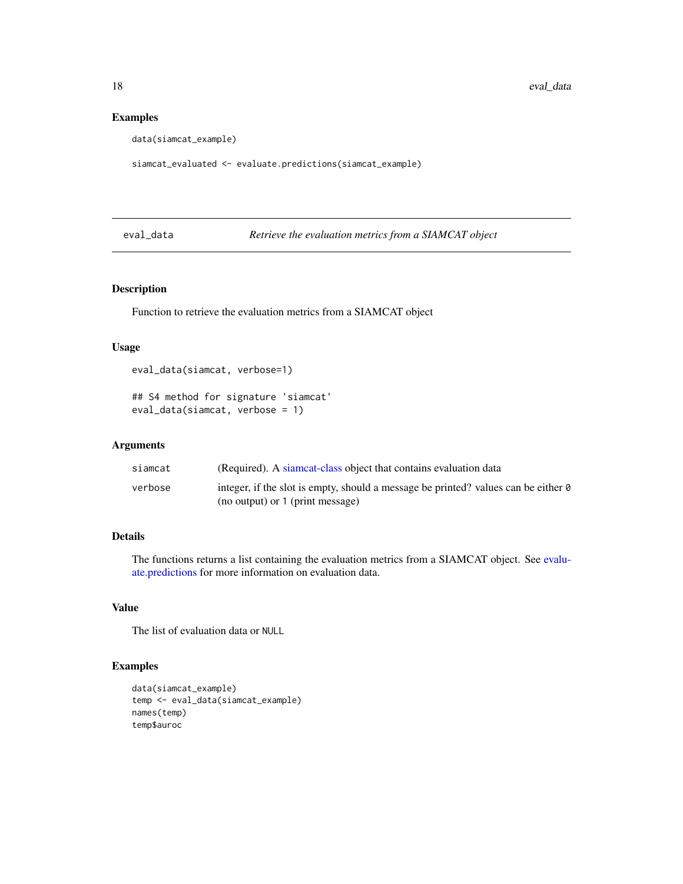# Examples

data(siamcat\_example)

siamcat\_evaluated <- evaluate.predictions(siamcat\_example)

eval\_data *Retrieve the evaluation metrics from a SIAMCAT object*

# Description

Function to retrieve the evaluation metrics from a SIAMCAT object

#### Usage

```
eval_data(siamcat, verbose=1)
## S4 method for signature 'siamcat'
eval_data(siamcat, verbose = 1)
```
#### Arguments

| siamcat | (Required). A siameat-class object that contains evaluation data                   |
|---------|------------------------------------------------------------------------------------|
| verbose | integer, if the slot is empty, should a message be printed? values can be either 0 |
|         | (no output) or 1 (print message)                                                   |

# Details

The functions returns a list containing the evaluation metrics from a SIAMCAT object. See [evalu](#page-15-1)[ate.predictions](#page-15-1) for more information on evaluation data.

# Value

The list of evaluation data or NULL

```
data(siamcat_example)
temp <- eval_data(siamcat_example)
names(temp)
temp$auroc
```
<span id="page-17-0"></span>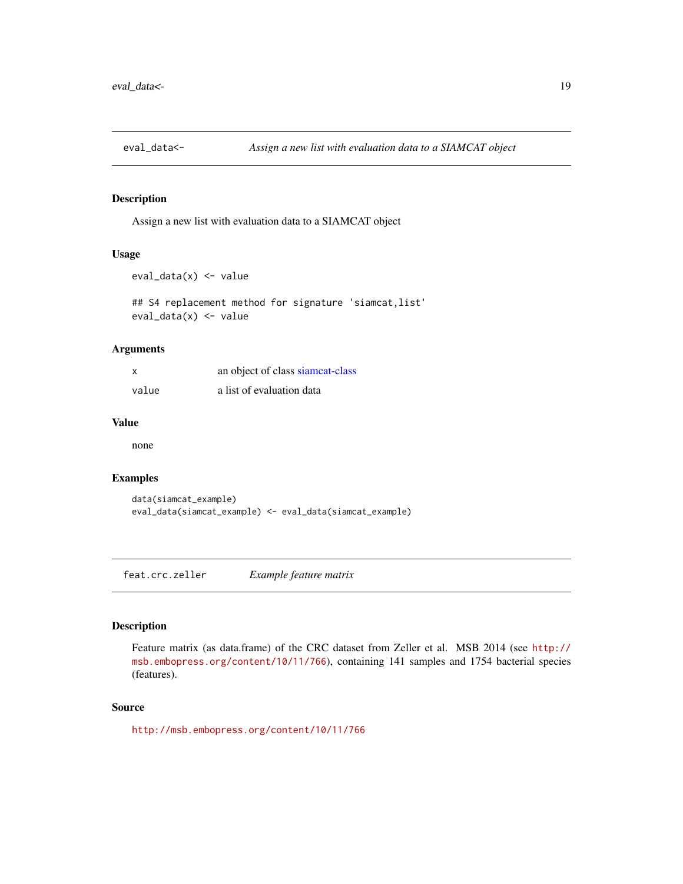<span id="page-18-0"></span>

Assign a new list with evaluation data to a SIAMCAT object

#### Usage

```
eval_data(x) <- value
```
## S4 replacement method for signature 'siamcat,list' eval\_data(x) <- value

# Arguments

| x     | an object of class siamcat-class |
|-------|----------------------------------|
| value | a list of evaluation data        |

# Value

none

# Examples

data(siamcat\_example) eval\_data(siamcat\_example) <- eval\_data(siamcat\_example)

feat.crc.zeller *Example feature matrix*

# Description

Feature matrix (as data.frame) of the CRC dataset from Zeller et al. MSB 2014 (see [http://](http://msb.embopress.org/content/10/11/766) [msb.embopress.org/content/10/11/766](http://msb.embopress.org/content/10/11/766)), containing 141 samples and 1754 bacterial species (features).

# Source

<http://msb.embopress.org/content/10/11/766>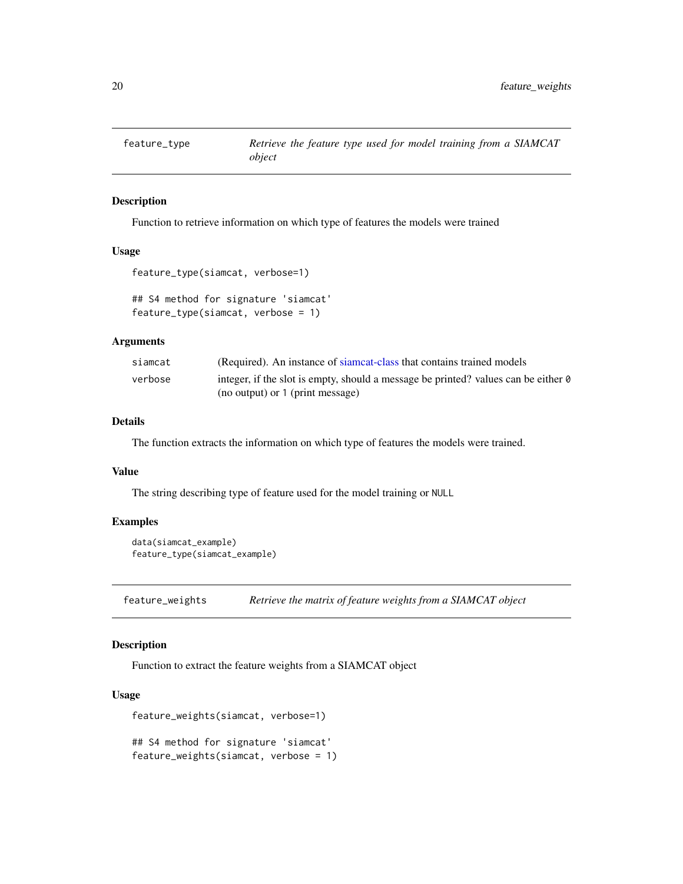<span id="page-19-0"></span>

Function to retrieve information on which type of features the models were trained

# Usage

```
feature_type(siamcat, verbose=1)
```

```
## S4 method for signature 'siamcat'
feature_type(siamcat, verbose = 1)
```
# **Arguments**

| siamcat | (Required). An instance of siamcat-class that contains trained models                     |
|---------|-------------------------------------------------------------------------------------------|
| verbose | integer, if the slot is empty, should a message be printed? values can be either $\theta$ |
|         | (no output) or 1 (print message)                                                          |

### Details

The function extracts the information on which type of features the models were trained.

# Value

The string describing type of feature used for the model training or NULL

# Examples

```
data(siamcat_example)
feature_type(siamcat_example)
```
feature\_weights *Retrieve the matrix of feature weights from a SIAMCAT object*

# Description

Function to extract the feature weights from a SIAMCAT object

# Usage

```
feature_weights(siamcat, verbose=1)
## S4 method for signature 'siamcat'
feature_weights(siamcat, verbose = 1)
```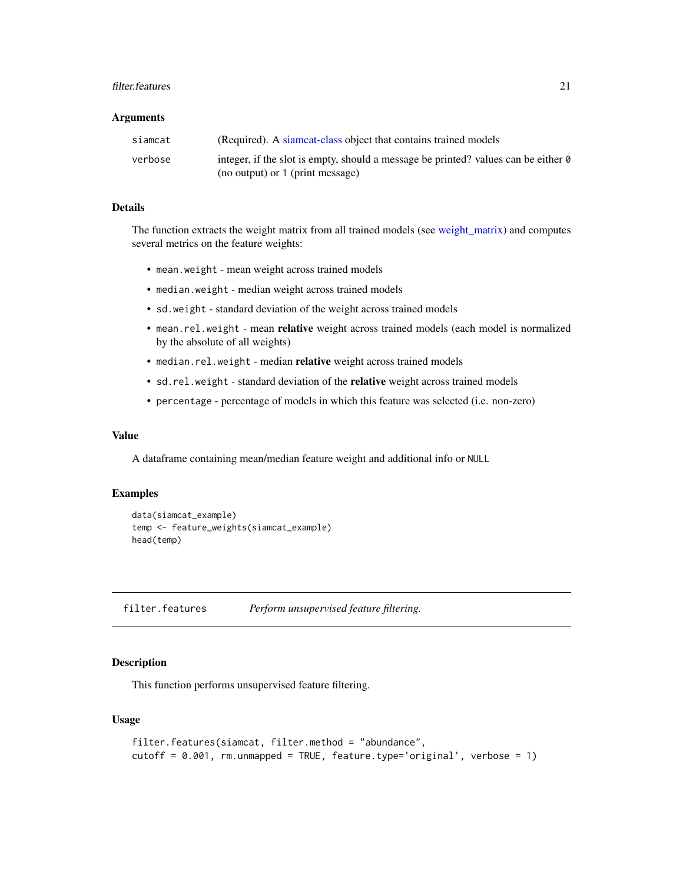#### <span id="page-20-0"></span>filter.features 21

#### **Arguments**

| siamcat | (Required). A siamcat-class object that contains trained models                                                               |
|---------|-------------------------------------------------------------------------------------------------------------------------------|
| verbose | integer, if the slot is empty, should a message be printed? values can be either $\theta$<br>(no output) or 1 (print message) |

#### Details

The function extracts the weight matrix from all trained models (see [weight\\_matrix\)](#page-57-1) and computes several metrics on the feature weights:

- mean.weight mean weight across trained models
- median.weight median weight across trained models
- sd.weight standard deviation of the weight across trained models
- mean.rel.weight mean relative weight across trained models (each model is normalized by the absolute of all weights)
- median.rel.weight median relative weight across trained models
- sd.rel.weight standard deviation of the relative weight across trained models
- percentage percentage of models in which this feature was selected (i.e. non-zero)

# Value

A dataframe containing mean/median feature weight and additional info or NULL

#### Examples

```
data(siamcat_example)
temp <- feature_weights(siamcat_example)
head(temp)
```
<span id="page-20-1"></span>filter.features *Perform unsupervised feature filtering.*

# Description

This function performs unsupervised feature filtering.

#### Usage

```
filter.features(siamcat, filter.method = "abundance",
cutoff = 0.001, rm.unmapped = TRUE, feature.type='original', verbose = 1)
```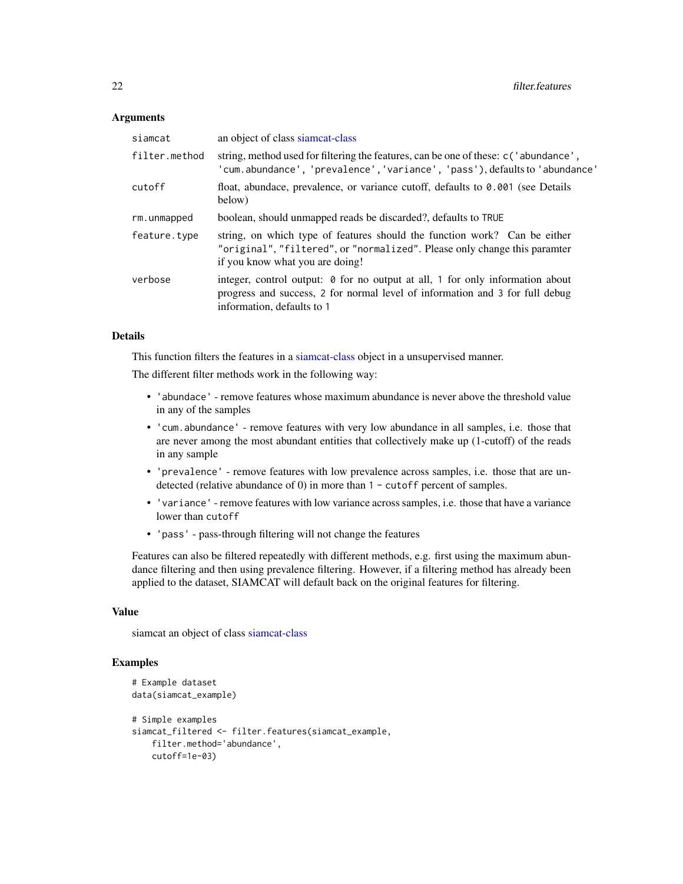#### **Arguments**

| siamcat       | an object of class siamcat-class                                                                                                                                                                   |
|---------------|----------------------------------------------------------------------------------------------------------------------------------------------------------------------------------------------------|
| filter.method | string, method used for filtering the features, can be one of these: c('abundance',<br>'cum.abundance', 'prevalence', 'variance', 'pass'), defaults to 'abundance'                                 |
| cutoff        | float, abundace, prevalence, or variance cutoff, defaults to 0.001 (see Details<br>below)                                                                                                          |
| rm.unmapped   | boolean, should unmapped reads be discarded?, defaults to TRUE                                                                                                                                     |
| feature.type  | string, on which type of features should the function work? Can be either<br>"original", "filtered", or "normalized". Please only change this paramter<br>if you know what you are doing!          |
| verbose       | integer, control output: $\theta$ for no output at all, 1 for only information about<br>progress and success, 2 for normal level of information and 3 for full debug<br>information, defaults to 1 |

#### Details

This function filters the features in a [siamcat-class](#page-51-1) object in a unsupervised manner.

The different filter methods work in the following way:

- 'abundace' remove features whose maximum abundance is never above the threshold value in any of the samples
- 'cum.abundance' remove features with very low abundance in all samples, i.e. those that are never among the most abundant entities that collectively make up (1-cutoff) of the reads in any sample
- 'prevalence' remove features with low prevalence across samples, i.e. those that are undetected (relative abundance of 0) in more than 1 - cutoff percent of samples.
- 'variance' remove features with low variance across samples, i.e. those that have a variance lower than cutoff
- 'pass' pass-through filtering will not change the features

Features can also be filtered repeatedly with different methods, e.g. first using the maximum abundance filtering and then using prevalence filtering. However, if a filtering method has already been applied to the dataset, SIAMCAT will default back on the original features for filtering.

#### Value

siamcat an object of class [siamcat-class](#page-51-1)

```
# Example dataset
data(siamcat_example)
# Simple examples
siamcat_filtered <- filter.features(siamcat_example,
    filter.method='abundance',
   cutoff=1e-03)
```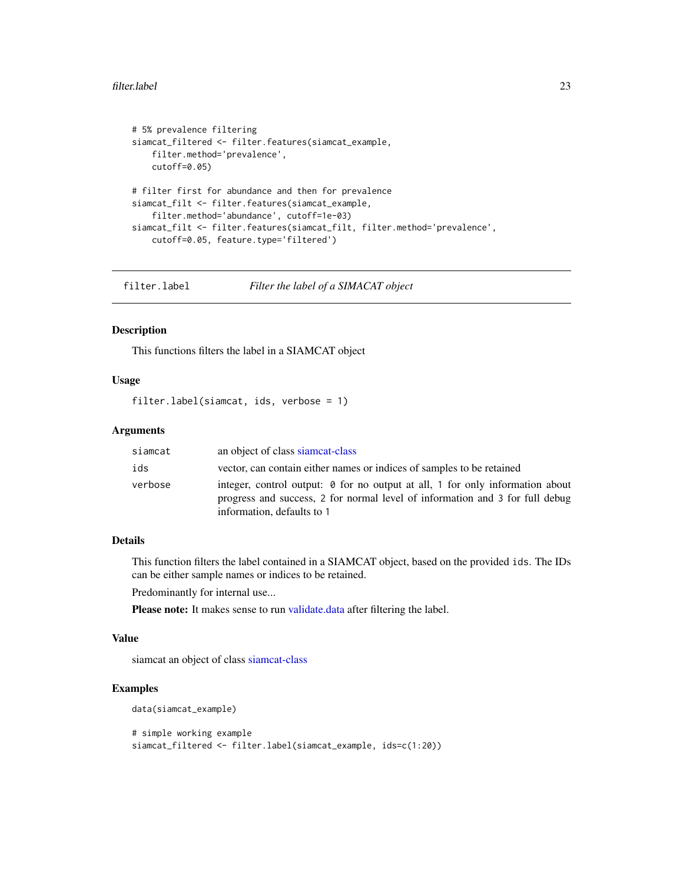#### <span id="page-22-0"></span>filter.label 23

```
# 5% prevalence filtering
siamcat_filtered <- filter.features(siamcat_example,
    filter.method='prevalence',
   cutoff=0.05)
# filter first for abundance and then for prevalence
siamcat_filt <- filter.features(siamcat_example,
    filter.method='abundance', cutoff=1e-03)
siamcat_filt <- filter.features(siamcat_filt, filter.method='prevalence',
   cutoff=0.05, feature.type='filtered')
```
filter.label *Filter the label of a SIMACAT object*

#### Description

This functions filters the label in a SIAMCAT object

# Usage

filter.label(siamcat, ids, verbose = 1)

#### Arguments

| siamcat | an object of class siame at-class                                                                                                                                                           |
|---------|---------------------------------------------------------------------------------------------------------------------------------------------------------------------------------------------|
| ids     | vector, can contain either names or indices of samples to be retained                                                                                                                       |
| verbose | integer, control output: 0 for no output at all, 1 for only information about<br>progress and success, 2 for normal level of information and 3 for full debug<br>information, defaults to 1 |

# Details

This function filters the label contained in a SIAMCAT object, based on the provided ids. The IDs can be either sample names or indices to be retained.

Predominantly for internal use...

Please note: It makes sense to run [validate.data](#page-55-1) after filtering the label.

# Value

siamcat an object of class [siamcat-class](#page-51-1)

```
data(siamcat_example)
# simple working example
siamcat_filtered <- filter.label(siamcat_example, ids=c(1:20))
```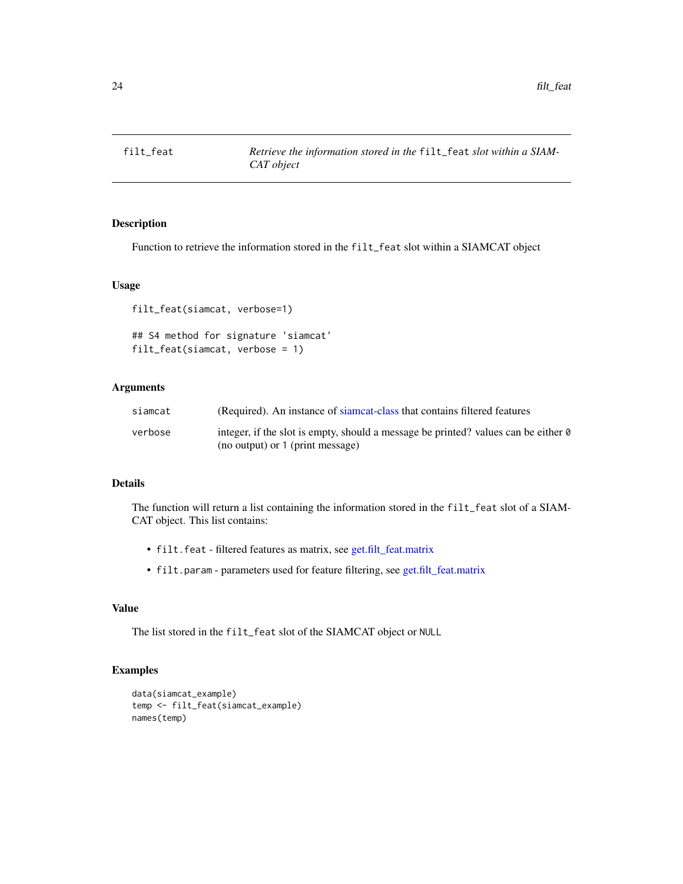<span id="page-23-0"></span>

Function to retrieve the information stored in the filt\_feat slot within a SIAMCAT object

#### Usage

```
filt_feat(siamcat, verbose=1)
## S4 method for signature 'siamcat'
filt_feat(siamcat, verbose = 1)
```
# Arguments

| siamcat | (Required). An instance of siamcat-class that contains filtered features                  |
|---------|-------------------------------------------------------------------------------------------|
| verbose | integer, if the slot is empty, should a message be printed? values can be either $\theta$ |
|         | (no output) or 1 (print message)                                                          |

#### Details

The function will return a list containing the information stored in the filt\_feat slot of a SIAM-CAT object. This list contains:

- filt.feat filtered features as matrix, see [get.filt\\_feat.matrix](#page-25-1)
- filt.param parameters used for feature filtering, see [get.filt\\_feat.matrix](#page-25-1)

# Value

The list stored in the filt\_feat slot of the SIAMCAT object or NULL

```
data(siamcat_example)
temp <- filt_feat(siamcat_example)
names(temp)
```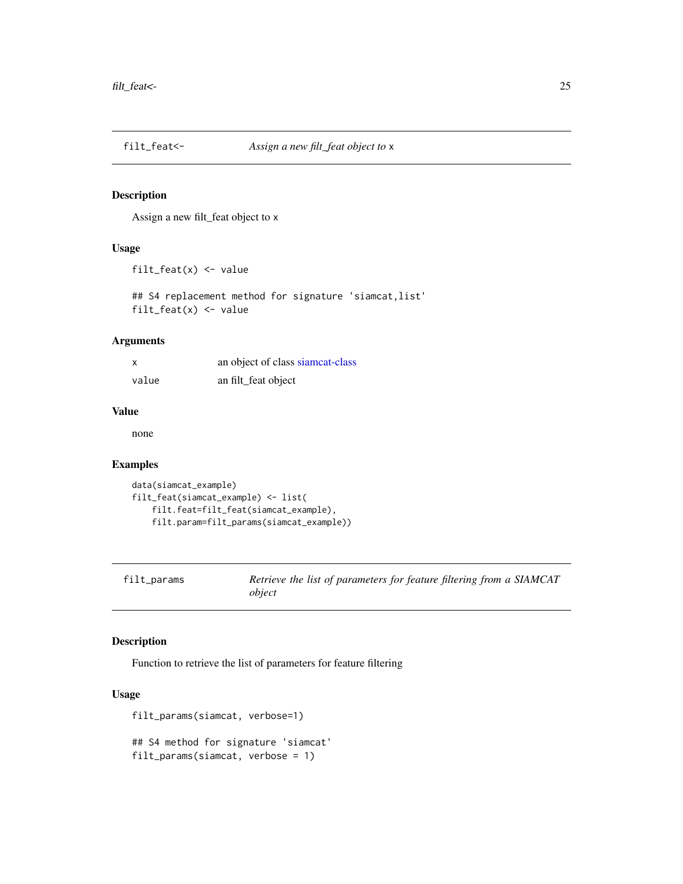<span id="page-24-0"></span>

Assign a new filt\_feat object to x

# Usage

filt\_feat(x) <- value

## S4 replacement method for signature 'siamcat,list'  $filt_feat(x) < -$  value

# Arguments

| X     | an object of class siamcat-class |
|-------|----------------------------------|
| value | an filt_feat object              |

# Value

none

# Examples

```
data(siamcat_example)
filt_feat(siamcat_example) <- list(
    filt.feat=filt_feat(siamcat_example),
    filt.param=filt_params(siamcat_example))
```

| filt_params | Retrieve the list of parameters for feature filtering from a SIAMCAT |
|-------------|----------------------------------------------------------------------|
|             | object                                                               |

# Description

Function to retrieve the list of parameters for feature filtering

# Usage

```
filt_params(siamcat, verbose=1)
## S4 method for signature 'siamcat'
filt_params(siamcat, verbose = 1)
```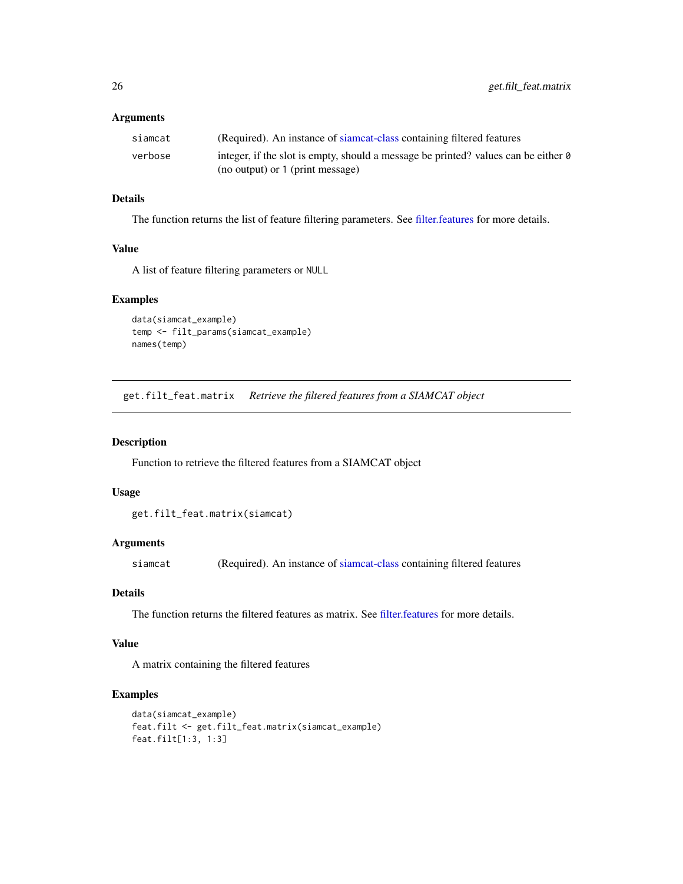#### <span id="page-25-0"></span>Arguments

| siamcat | (Required). An instance of siamcat-class containing filtered features                     |
|---------|-------------------------------------------------------------------------------------------|
| verbose | integer, if the slot is empty, should a message be printed? values can be either $\theta$ |
|         | (no output) or 1 (print message)                                                          |

# Details

The function returns the list of feature filtering parameters. See [filter.features](#page-20-1) for more details.

#### Value

A list of feature filtering parameters or NULL

#### Examples

```
data(siamcat_example)
temp <- filt_params(siamcat_example)
names(temp)
```
<span id="page-25-1"></span>get.filt\_feat.matrix *Retrieve the filtered features from a SIAMCAT object*

# Description

Function to retrieve the filtered features from a SIAMCAT object

# Usage

```
get.filt_feat.matrix(siamcat)
```
# Arguments

siamcat (Required). An instance of [siamcat-class](#page-51-1) containing filtered features

# Details

The function returns the filtered features as matrix. See [filter.features](#page-20-1) for more details.

# Value

A matrix containing the filtered features

```
data(siamcat_example)
feat.filt <- get.filt_feat.matrix(siamcat_example)
feat.filt[1:3, 1:3]
```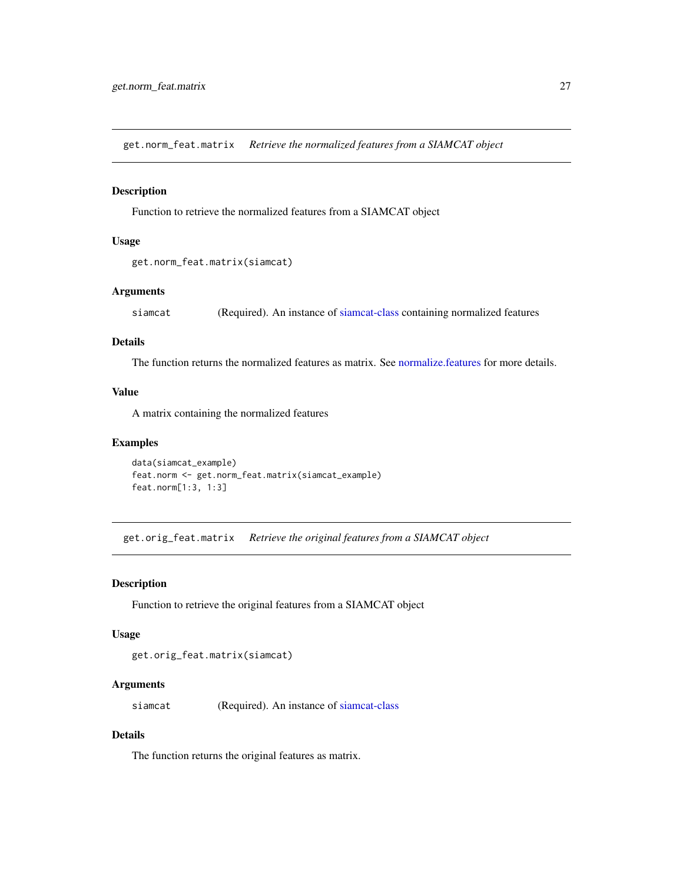<span id="page-26-1"></span><span id="page-26-0"></span>get.norm\_feat.matrix *Retrieve the normalized features from a SIAMCAT object*

#### Description

Function to retrieve the normalized features from a SIAMCAT object

#### Usage

```
get.norm_feat.matrix(siamcat)
```
#### Arguments

siamcat (Required). An instance of [siamcat-class](#page-51-1) containing normalized features

#### Details

The function returns the normalized features as matrix. See [normalize.features](#page-38-1) for more details.

#### Value

A matrix containing the normalized features

#### Examples

```
data(siamcat_example)
feat.norm <- get.norm_feat.matrix(siamcat_example)
feat.norm[1:3, 1:3]
```
get.orig\_feat.matrix *Retrieve the original features from a SIAMCAT object*

#### Description

Function to retrieve the original features from a SIAMCAT object

#### Usage

get.orig\_feat.matrix(siamcat)

# Arguments

siamcat (Required). An instance of [siamcat-class](#page-51-1)

# Details

The function returns the original features as matrix.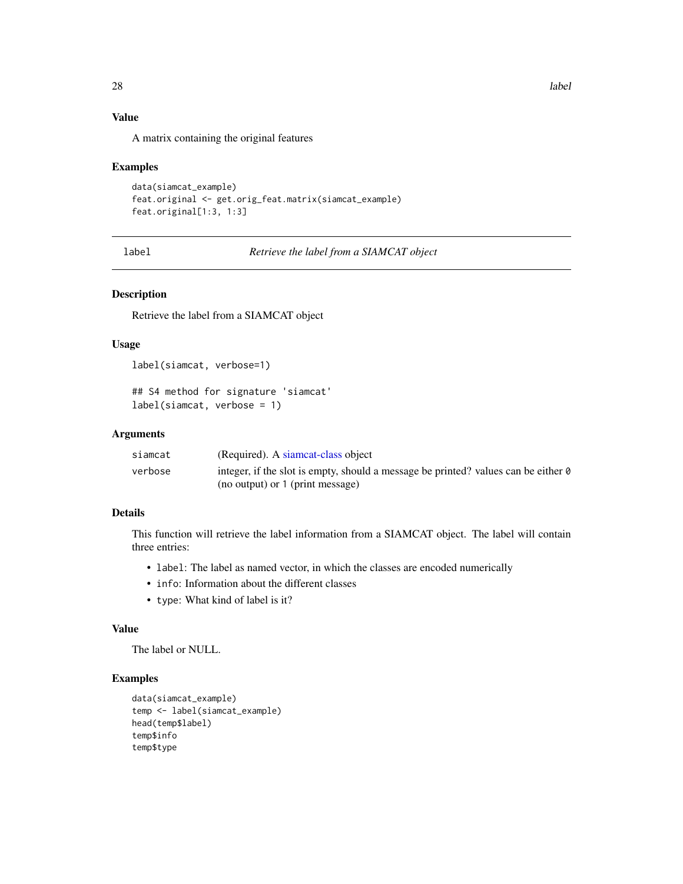# Value

A matrix containing the original features

#### Examples

```
data(siamcat_example)
feat.original <- get.orig_feat.matrix(siamcat_example)
feat.original[1:3, 1:3]
```
label *Retrieve the label from a SIAMCAT object*

# Description

Retrieve the label from a SIAMCAT object

#### Usage

```
label(siamcat, verbose=1)
```

```
## S4 method for signature 'siamcat'
label(siamcat, verbose = 1)
```
#### Arguments

| siamcat | (Required). A siamcat-class object                                                        |
|---------|-------------------------------------------------------------------------------------------|
| verbose | integer, if the slot is empty, should a message be printed? values can be either $\theta$ |
|         | (no output) or 1 (print message)                                                          |

#### Details

This function will retrieve the label information from a SIAMCAT object. The label will contain three entries:

- label: The label as named vector, in which the classes are encoded numerically
- info: Information about the different classes
- type: What kind of label is it?

# Value

The label or NULL.

```
data(siamcat_example)
temp <- label(siamcat_example)
head(temp$label)
temp$info
temp$type
```
<span id="page-27-0"></span>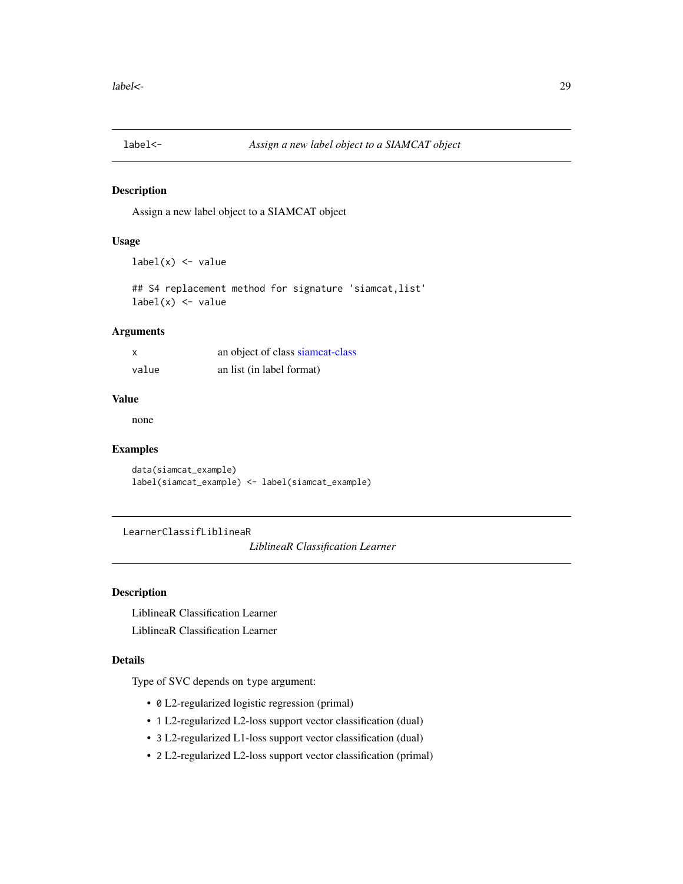<span id="page-28-0"></span>

Assign a new label object to a SIAMCAT object

#### Usage

```
label(x) <- value
```
## S4 replacement method for signature 'siamcat,list'  $label(x) < -$  value

# Arguments

| X     | an object of class siamcat-class |
|-------|----------------------------------|
| value | an list (in label format)        |

# Value

none

# Examples

data(siamcat\_example) label(siamcat\_example) <- label(siamcat\_example)

LearnerClassifLiblineaR

*LiblineaR Classification Learner*

#### Description

LiblineaR Classification Learner LiblineaR Classification Learner

#### Details

Type of SVC depends on type argument:

- 0 L2-regularized logistic regression (primal)
- 1 L2-regularized L2-loss support vector classification (dual)
- 3 L2-regularized L1-loss support vector classification (dual)
- 2 L2-regularized L2-loss support vector classification (primal)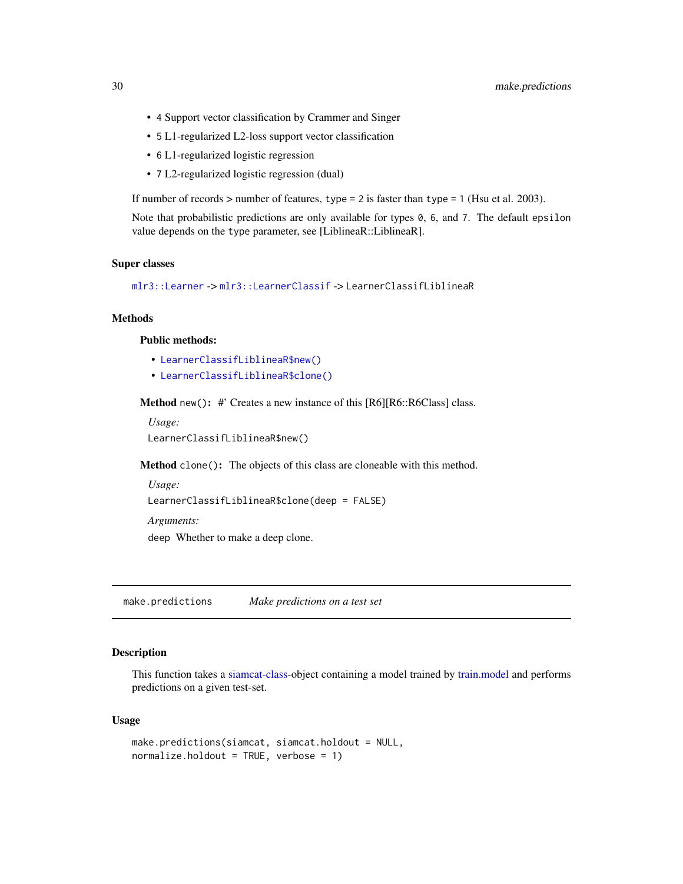- <span id="page-29-0"></span>• 4 Support vector classification by Crammer and Singer
- 5 L1-regularized L2-loss support vector classification
- 6 L1-regularized logistic regression
- 7 L2-regularized logistic regression (dual)

If number of records  $>$  number of features, type = 2 is faster than type = 1 (Hsu et al. 2003).

Note that probabilistic predictions are only available for types 0, 6, and 7. The default epsilon value depends on the type parameter, see [LiblineaR::LiblineaR].

# Super classes

```
mlr3::Learner -> mlr3::LearnerClassif -> LearnerClassifLiblineaR
```
### Methods

#### Public methods:

- [LearnerClassifLiblineaR\\$new\(\)](#page-29-1)
- [LearnerClassifLiblineaR\\$clone\(\)](#page-29-2)

<span id="page-29-1"></span>Method new(): #' Creates a new instance of this [R6][R6::R6Class] class.

*Usage:*

LearnerClassifLiblineaR\$new()

<span id="page-29-2"></span>Method clone(): The objects of this class are cloneable with this method.

```
Usage:
LearnerClassifLiblineaR$clone(deep = FALSE)
```
*Arguments:*

deep Whether to make a deep clone.

<span id="page-29-3"></span>make.predictions *Make predictions on a test set*

#### Description

This function takes a [siamcat-class-](#page-51-1)object containing a model trained by [train.model](#page-53-1) and performs predictions on a given test-set.

#### Usage

```
make.predictions(siamcat, siamcat.holdout = NULL,
normalize.holdout = TRUE, verbose = 1)
```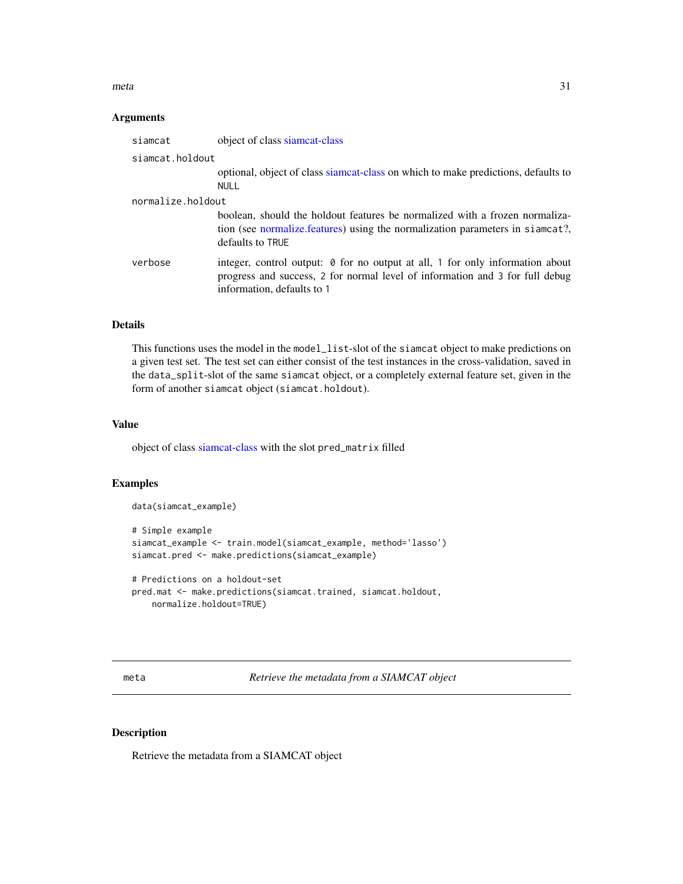#### <span id="page-30-0"></span> $meta$  31

#### Arguments

| siamcat           | object of class siamcat-class                                                                                                                                                                      |  |
|-------------------|----------------------------------------------------------------------------------------------------------------------------------------------------------------------------------------------------|--|
| siamcat.holdout   |                                                                                                                                                                                                    |  |
|                   | optional, object of class siamcat-class on which to make predictions, defaults to<br><b>NULL</b>                                                                                                   |  |
| normalize.holdout |                                                                                                                                                                                                    |  |
|                   | boolean, should the holdout features be normalized with a frozen normaliza-<br>tion (see normalize.features) using the normalization parameters in siamcat?,<br>defaults to TRUE                   |  |
| verbose           | integer, control output: $\theta$ for no output at all, 1 for only information about<br>progress and success, 2 for normal level of information and 3 for full debug<br>information, defaults to 1 |  |
|                   |                                                                                                                                                                                                    |  |

# Details

This functions uses the model in the model\_list-slot of the siamcat object to make predictions on a given test set. The test set can either consist of the test instances in the cross-validation, saved in the data\_split-slot of the same siamcat object, or a completely external feature set, given in the form of another siamcat object (siamcat.holdout).

# Value

object of class [siamcat-class](#page-51-1) with the slot pred\_matrix filled

#### Examples

data(siamcat\_example)

```
# Simple example
siamcat_example <- train.model(siamcat_example, method='lasso')
siamcat.pred <- make.predictions(siamcat_example)
# Predictions on a holdout-set
```

```
pred.mat <- make.predictions(siamcat.trained, siamcat.holdout,
   normalize.holdout=TRUE)
```
meta *Retrieve the metadata from a SIAMCAT object*

#### Description

Retrieve the metadata from a SIAMCAT object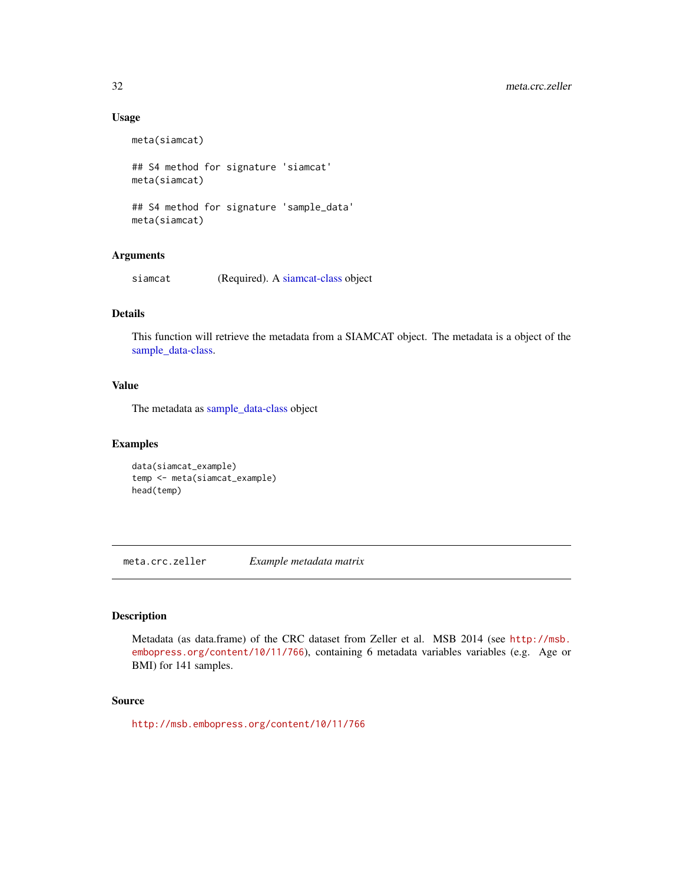# Usage

```
meta(siamcat)
## S4 method for signature 'siamcat'
meta(siamcat)
```
## S4 method for signature 'sample\_data' meta(siamcat)

### Arguments

siamcat (Required). A [siamcat-class](#page-51-1) object

# Details

This function will retrieve the metadata from a SIAMCAT object. The metadata is a object of the [sample\\_data-class.](#page-0-0)

#### Value

The metadata as [sample\\_data-class](#page-0-0) object

### Examples

```
data(siamcat_example)
temp <- meta(siamcat_example)
head(temp)
```
meta.crc.zeller *Example metadata matrix*

# Description

Metadata (as data.frame) of the CRC dataset from Zeller et al. MSB 2014 (see [http://msb.](http://msb.embopress.org/content/10/11/766) [embopress.org/content/10/11/766](http://msb.embopress.org/content/10/11/766)), containing 6 metadata variables variables (e.g. Age or BMI) for 141 samples.

#### Source

<http://msb.embopress.org/content/10/11/766>

<span id="page-31-0"></span>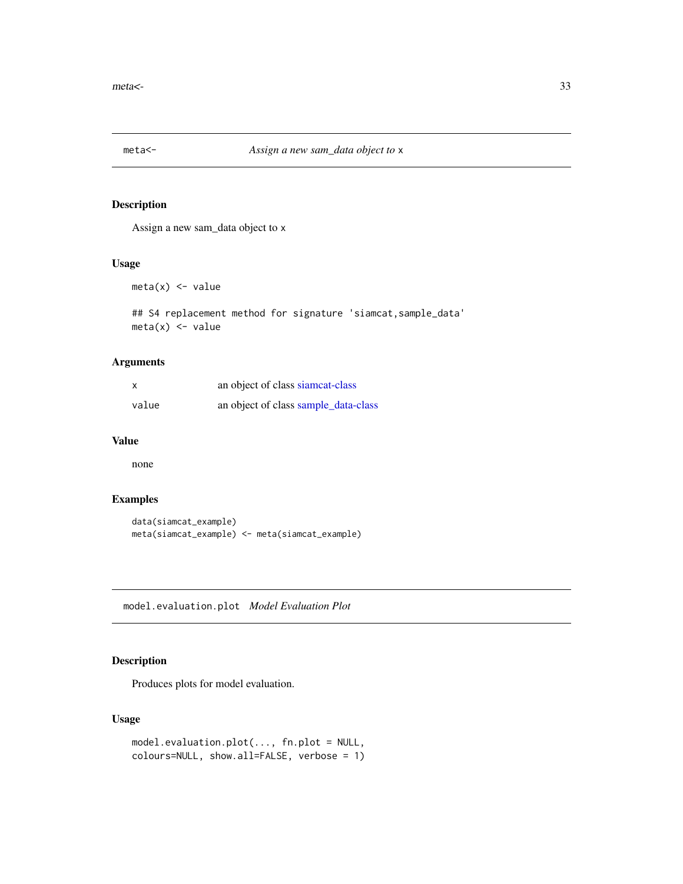<span id="page-32-0"></span>

Assign a new sam\_data object to x

# Usage

 $meta(x)$  <- value

## S4 replacement method for signature 'siamcat,sample\_data'  $meta(x)$  <- value

# Arguments

| X     | an object of class siamcat-class     |
|-------|--------------------------------------|
| value | an object of class sample_data-class |

#### Value

none

# Examples

```
data(siamcat_example)
meta(siamcat_example) <- meta(siamcat_example)
```
model.evaluation.plot *Model Evaluation Plot*

# Description

Produces plots for model evaluation.

# Usage

```
model.evaluation.plot(..., fn.plot = NULL,
colours=NULL, show.all=FALSE, verbose = 1)
```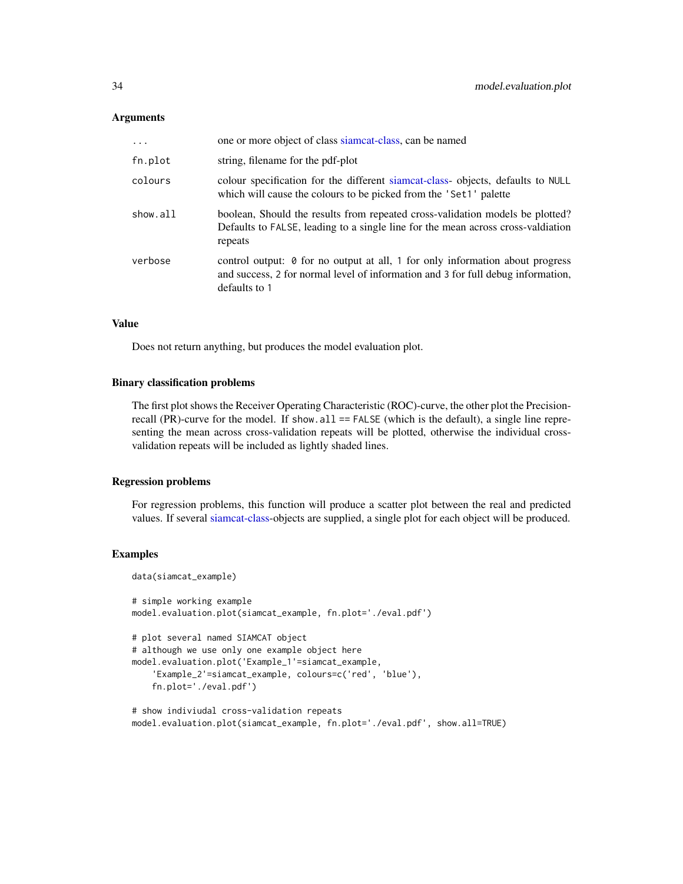# **Arguments**

| $\ddots$ | one or more object of class siamcat-class, can be named                                                                                                                            |
|----------|------------------------------------------------------------------------------------------------------------------------------------------------------------------------------------|
| fn.plot  | string, filename for the pdf-plot                                                                                                                                                  |
| colours  | colour specification for the different siamcat-class- objects, defaults to NULL<br>which will cause the colours to be picked from the 'Set1' palette                               |
| show.all | boolean, Should the results from repeated cross-validation models be plotted?<br>Defaults to FALSE, leading to a single line for the mean across cross-valdiation<br>repeats       |
| verbose  | control output: 0 for no output at all, 1 for only information about progress<br>and success, 2 for normal level of information and 3 for full debug information,<br>defaults to 1 |

#### Value

Does not return anything, but produces the model evaluation plot.

#### Binary classification problems

The first plot shows the Receiver Operating Characteristic (ROC)-curve, the other plot the Precisionrecall (PR)-curve for the model. If show.all  $==$  FALSE (which is the default), a single line representing the mean across cross-validation repeats will be plotted, otherwise the individual crossvalidation repeats will be included as lightly shaded lines.

#### Regression problems

For regression problems, this function will produce a scatter plot between the real and predicted values. If several [siamcat-class-](#page-51-1)objects are supplied, a single plot for each object will be produced.

#### Examples

```
data(siamcat_example)
# simple working example
model.evaluation.plot(siamcat_example, fn.plot='./eval.pdf')
# plot several named SIAMCAT object
# although we use only one example object here
model.evaluation.plot('Example_1'=siamcat_example,
    'Example_2'=siamcat_example, colours=c('red', 'blue'),
    fn.plot='./eval.pdf')
# show indiviudal cross-validation repeats
```
model.evaluation.plot(siamcat\_example, fn.plot='./eval.pdf', show.all=TRUE)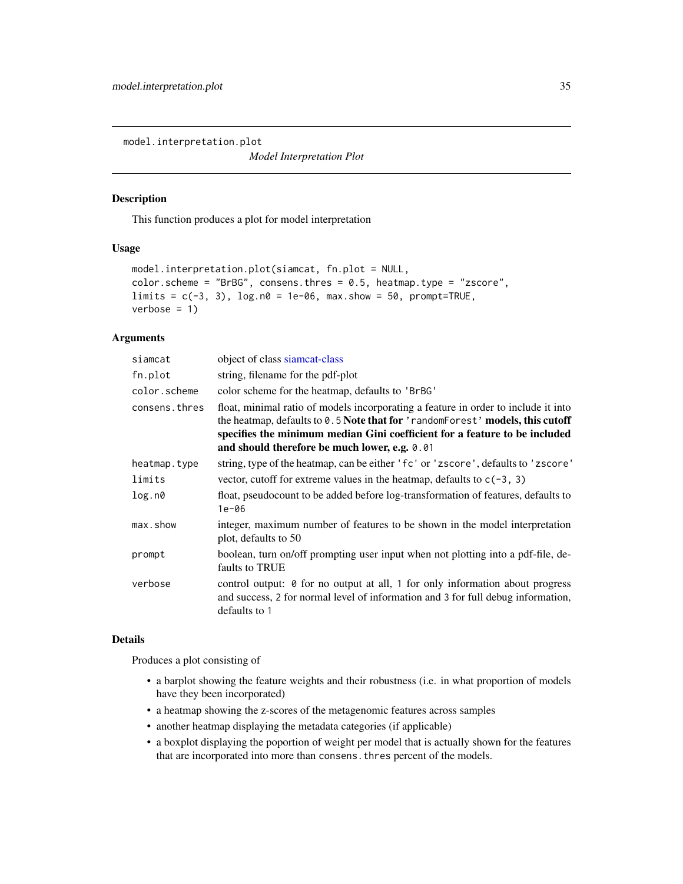<span id="page-34-0"></span>model.interpretation.plot

*Model Interpretation Plot*

#### Description

This function produces a plot for model interpretation

# Usage

```
model.interpretation.plot(siamcat, fn.plot = NULL,
color.scheme = "BrBG", consens.thres = 0.5, heatmap.type = "zscore",
limits = c(-3, 3), log.n0 = 1e-06, max.show = 50, prompt=TRUE,verbose = 1)
```
# Arguments

| siamcat            | object of class siamcat-class                                                                                                                                                                                                                                                                      |
|--------------------|----------------------------------------------------------------------------------------------------------------------------------------------------------------------------------------------------------------------------------------------------------------------------------------------------|
| fn.plot            | string, filename for the pdf-plot                                                                                                                                                                                                                                                                  |
| color.scheme       | color scheme for the heatmap, defaults to 'BrBG'                                                                                                                                                                                                                                                   |
| consens.thres      | float, minimal ratio of models incorporating a feature in order to include it into<br>the heatmap, defaults to 0.5 Note that for 'randomForest' models, this cutoff<br>specifies the minimum median Gini coefficient for a feature to be included<br>and should therefore be much lower, e.g. 0.01 |
| heatmap.type       | string, type of the heatmap, can be either 'fc' or 'zscore', defaults to 'zscore'                                                                                                                                                                                                                  |
| limits             | vector, cutoff for extreme values in the heatmap, defaults to $c(-3, 3)$                                                                                                                                                                                                                           |
| log.n <sub>0</sub> | float, pseudocount to be added before log-transformation of features, defaults to<br>$1e-06$                                                                                                                                                                                                       |
| max.show           | integer, maximum number of features to be shown in the model interpretation<br>plot, defaults to 50                                                                                                                                                                                                |
| prompt             | boolean, turn on/off prompting user input when not plotting into a pdf-file, de-<br>faults to TRUE                                                                                                                                                                                                 |
| verbose            | control output: $\theta$ for no output at all, 1 for only information about progress<br>and success, 2 for normal level of information and 3 for full debug information,<br>defaults to 1                                                                                                          |

#### Details

Produces a plot consisting of

- a barplot showing the feature weights and their robustness (i.e. in what proportion of models have they been incorporated)
- a heatmap showing the z-scores of the metagenomic features across samples
- another heatmap displaying the metadata categories (if applicable)
- a boxplot displaying the poportion of weight per model that is actually shown for the features that are incorporated into more than consens. thres percent of the models.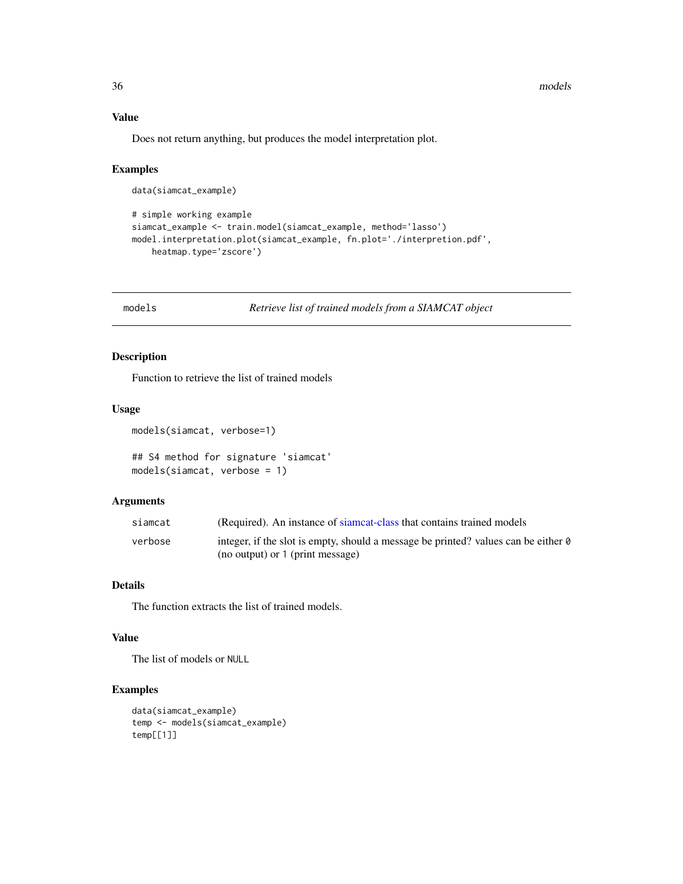# Value

Does not return anything, but produces the model interpretation plot.

#### Examples

```
data(siamcat_example)
```

```
# simple working example
siamcat_example <- train.model(siamcat_example, method='lasso')
model.interpretation.plot(siamcat_example, fn.plot='./interpretion.pdf',
    heatmap.type='zscore')
```
models *Retrieve list of trained models from a SIAMCAT object*

# Description

Function to retrieve the list of trained models

#### Usage

```
models(siamcat, verbose=1)
```

```
## S4 method for signature 'siamcat'
models(siamcat, verbose = 1)
```
#### Arguments

| siamcat | (Required). An instance of siamcat-class that contains trained models                     |
|---------|-------------------------------------------------------------------------------------------|
| verbose | integer, if the slot is empty, should a message be printed? values can be either $\theta$ |
|         | (no output) or 1 (print message)                                                          |

# Details

The function extracts the list of trained models.

#### Value

The list of models or NULL

```
data(siamcat_example)
temp <- models(siamcat_example)
temp[[1]]
```
<span id="page-35-0"></span>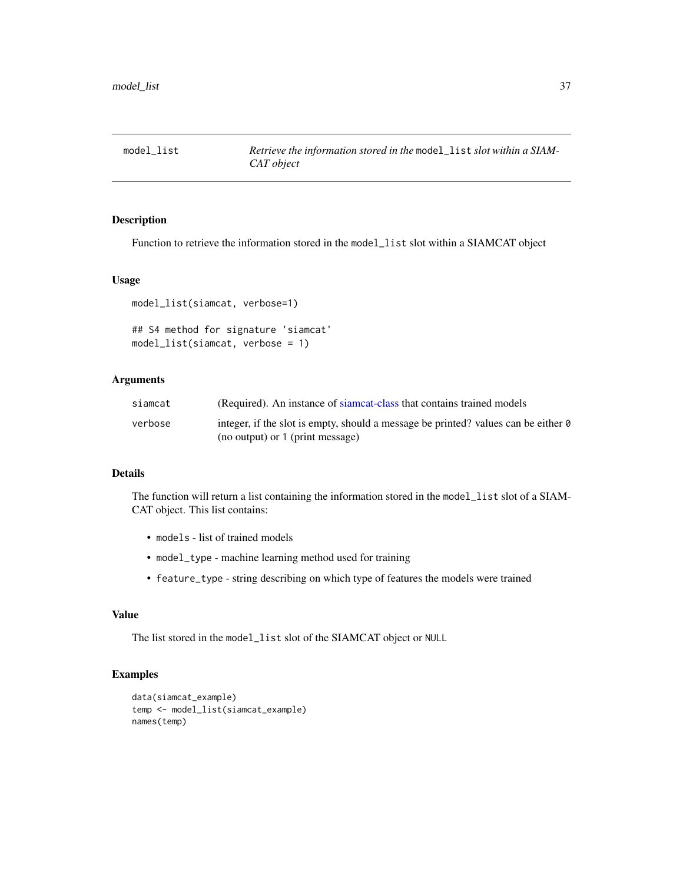<span id="page-36-0"></span>

Function to retrieve the information stored in the model\_list slot within a SIAMCAT object

#### Usage

```
model_list(siamcat, verbose=1)
```

```
## S4 method for signature 'siamcat'
model_list(siamcat, verbose = 1)
```
# Arguments

| siamcat | (Required). An instance of siamcat-class that contains trained models                     |
|---------|-------------------------------------------------------------------------------------------|
| verbose | integer, if the slot is empty, should a message be printed? values can be either $\theta$ |
|         | (no output) or 1 (print message)                                                          |

# Details

The function will return a list containing the information stored in the model\_list slot of a SIAM-CAT object. This list contains:

- models list of trained models
- model\_type machine learning method used for training
- feature\_type string describing on which type of features the models were trained

# Value

The list stored in the model\_list slot of the SIAMCAT object or NULL

```
data(siamcat_example)
temp <- model_list(siamcat_example)
names(temp)
```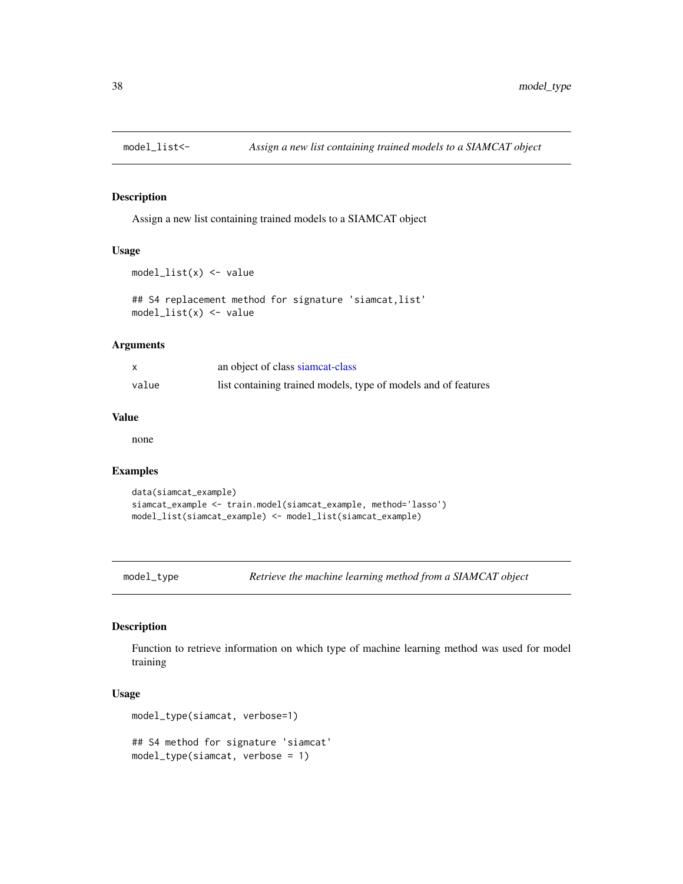<span id="page-37-0"></span>

Assign a new list containing trained models to a SIAMCAT object

# Usage

```
model_list(x) <- value
```

```
## S4 replacement method for signature 'siamcat,list'
model_list(x) <- value
```
#### Arguments

|       | an object of class siamcat-class                               |
|-------|----------------------------------------------------------------|
| value | list containing trained models, type of models and of features |

# Value

none

#### Examples

```
data(siamcat_example)
siamcat_example <- train.model(siamcat_example, method='lasso')
model_list(siamcat_example) <- model_list(siamcat_example)
```
model\_type *Retrieve the machine learning method from a SIAMCAT object*

# Description

Function to retrieve information on which type of machine learning method was used for model training

# Usage

```
model_type(siamcat, verbose=1)
## S4 method for signature 'siamcat'
```
model\_type(siamcat, verbose = 1)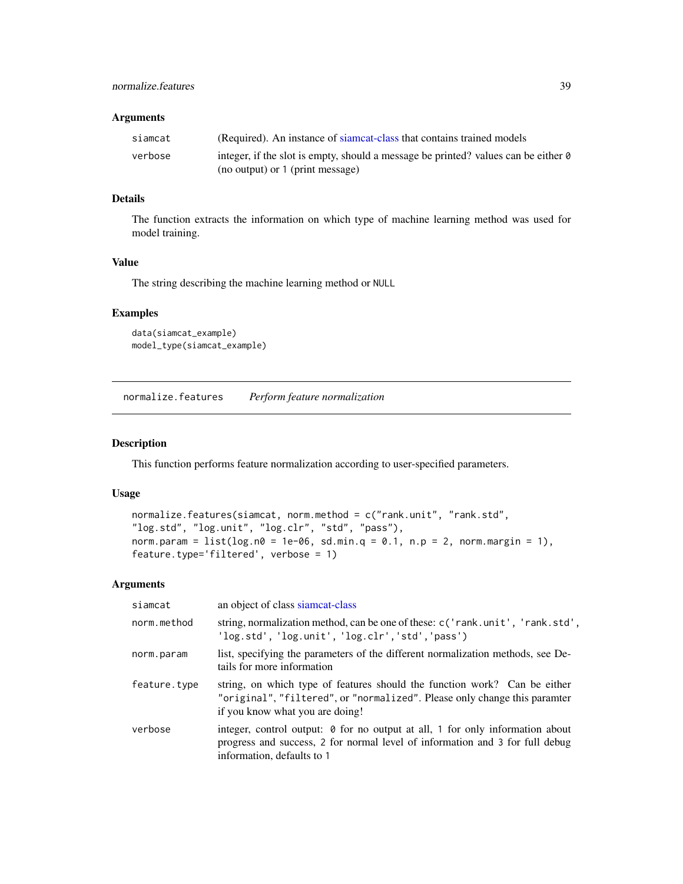#### <span id="page-38-0"></span>Arguments

| siamcat | (Required). An instance of siamcat-class that contains trained models                     |
|---------|-------------------------------------------------------------------------------------------|
| verbose | integer, if the slot is empty, should a message be printed? values can be either $\theta$ |
|         | (no output) or 1 (print message)                                                          |

# Details

The function extracts the information on which type of machine learning method was used for model training.

# Value

The string describing the machine learning method or NULL

# Examples

```
data(siamcat_example)
model_type(siamcat_example)
```
<span id="page-38-1"></span>normalize.features *Perform feature normalization*

# Description

This function performs feature normalization according to user-specified parameters.

# Usage

```
normalize.features(siamcat, norm.method = c("rank.unit", "rank.std",
"log.std", "log.unit", "log.clr", "std", "pass"),
norm.param = list(log.n0 = 1e-06, sd.min.q = 0.1, n.p = 2, norm.margin = 1),feature.type='filtered', verbose = 1)
```
#### Arguments

| siamcat      | an object of class siamcat-class                                                                                                                                                                   |
|--------------|----------------------------------------------------------------------------------------------------------------------------------------------------------------------------------------------------|
| norm.method  | string, normalization method, can be one of these: $c('rank.unit', 'rank.std', )$<br>'log.std', 'log.unit', 'log.clr', 'std', 'pass')                                                              |
| norm.param   | list, specifying the parameters of the different normalization methods, see De-<br>tails for more information                                                                                      |
| feature.type | string, on which type of features should the function work? Can be either<br>"original", "filtered", or "normalized". Please only change this paramter<br>if you know what you are doing!          |
| verbose      | integer, control output: $\theta$ for no output at all, 1 for only information about<br>progress and success, 2 for normal level of information and 3 for full debug<br>information, defaults to 1 |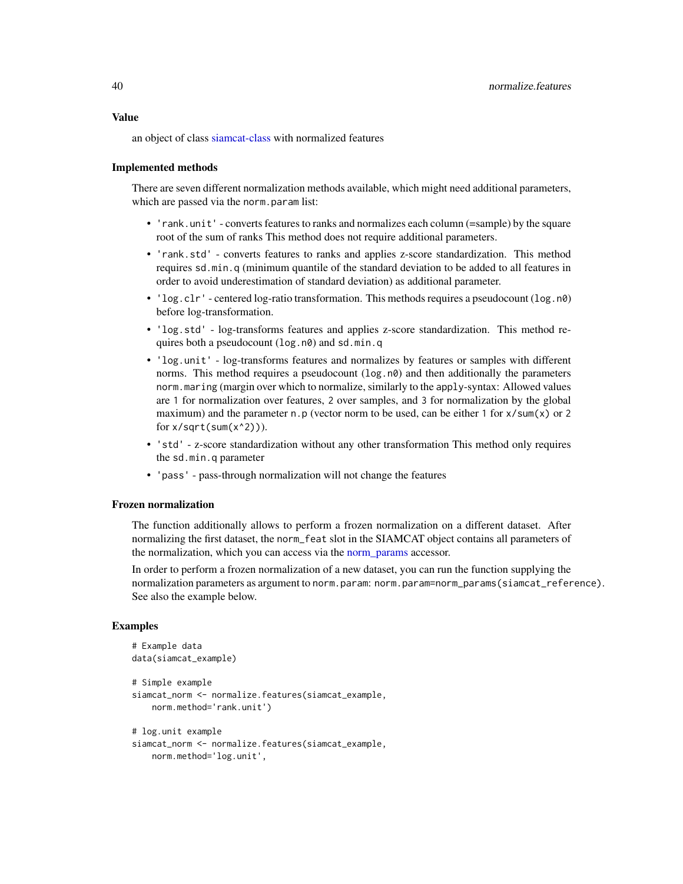<span id="page-39-0"></span>an object of class [siamcat-class](#page-51-1) with normalized features

#### Implemented methods

There are seven different normalization methods available, which might need additional parameters, which are passed via the norm.param list:

- 'rank.unit' converts features to ranks and normalizes each column (=sample) by the square root of the sum of ranks This method does not require additional parameters.
- 'rank.std' converts features to ranks and applies z-score standardization. This method requires sd.min.q (minimum quantile of the standard deviation to be added to all features in order to avoid underestimation of standard deviation) as additional parameter.
- 'log.clr' centered log-ratio transformation. This methods requires a pseudocount (log.n0) before log-transformation.
- 'log.std' log-transforms features and applies z-score standardization. This method requires both a pseudocount (log.n0) and sd.min.q
- 'log.unit' log-transforms features and normalizes by features or samples with different norms. This method requires a pseudocount  $(\log n0)$  and then additionally the parameters norm.maring (margin over which to normalize, similarly to the apply-syntax: Allowed values are 1 for normalization over features, 2 over samples, and 3 for normalization by the global maximum) and the parameter n. p (vector norm to be used, can be either 1 for  $x$ /sum( $x$ ) or 2 for  $x/sqrt(sum(x^2))$ .
- 'std' z-score standardization without any other transformation This method only requires the sd.min.q parameter
- 'pass' pass-through normalization will not change the features

# Frozen normalization

The function additionally allows to perform a frozen normalization on a different dataset. After normalizing the first dataset, the norm\_feat slot in the SIAMCAT object contains all parameters of the normalization, which you can access via the [norm\\_params](#page-41-1) accessor.

In order to perform a frozen normalization of a new dataset, you can run the function supplying the normalization parameters as argument to norm.param: norm.param=norm\_params(siamcat\_reference). See also the example below.

```
# Example data
data(siamcat_example)
# Simple example
siamcat_norm <- normalize.features(siamcat_example,
   norm.method='rank.unit')
# log.unit example
siamcat_norm <- normalize.features(siamcat_example,
```

```
norm.method='log.unit',
```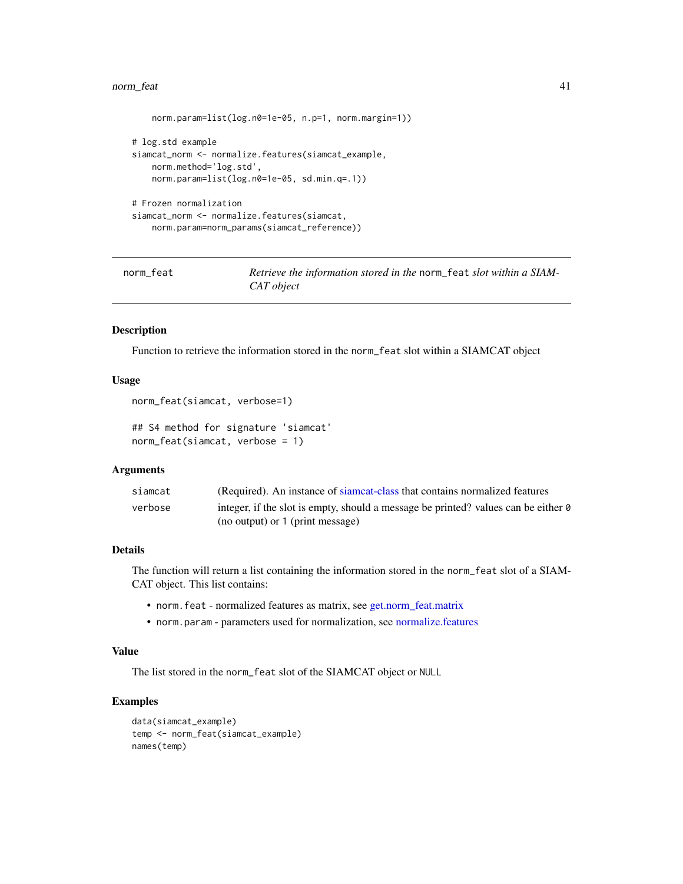#### <span id="page-40-0"></span>norm\_feat 41

```
norm.param=list(log.n0=1e-05, n.p=1, norm.margin=1))
# log.std example
siamcat_norm <- normalize.features(siamcat_example,
   norm.method='log.std',
   norm.param=list(log.n0=1e-05, sd.min.q=.1))
# Frozen normalization
siamcat_norm <- normalize.features(siamcat,
    norm.param=norm_params(siamcat_reference))
```
norm\_feat *Retrieve the information stored in the* norm\_feat *slot within a SIAM-CAT object*

# Description

Function to retrieve the information stored in the norm\_feat slot within a SIAMCAT object

#### Usage

```
norm_feat(siamcat, verbose=1)
```

```
## S4 method for signature 'siamcat'
norm_feat(siamcat, verbose = 1)
```
### Arguments

| siamcat | (Required). An instance of siamcat-class that contains normalized features                |
|---------|-------------------------------------------------------------------------------------------|
| verbose | integer, if the slot is empty, should a message be printed? values can be either $\theta$ |
|         | (no output) or 1 (print message)                                                          |

# Details

The function will return a list containing the information stored in the norm\_feat slot of a SIAM-CAT object. This list contains:

- norm.feat normalized features as matrix, see [get.norm\\_feat.matrix](#page-26-1)
- norm.param parameters used for normalization, see [normalize.features](#page-38-1)

#### Value

The list stored in the norm\_feat slot of the SIAMCAT object or NULL

```
data(siamcat_example)
temp <- norm_feat(siamcat_example)
names(temp)
```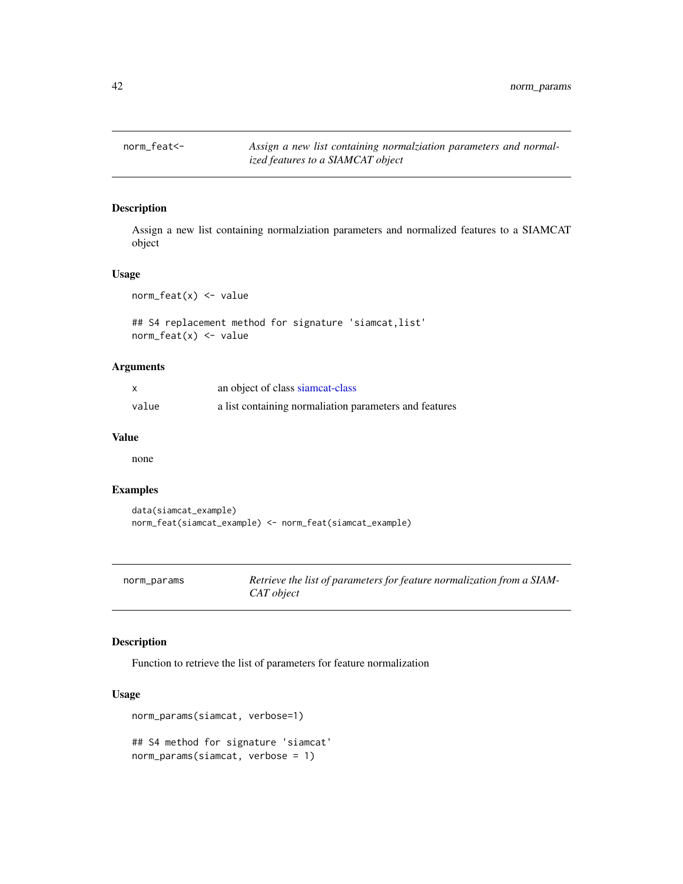<span id="page-41-0"></span>

Assign a new list containing normalziation parameters and normalized features to a SIAMCAT object

#### Usage

 $norm_feat(x) < -value$ 

```
## S4 replacement method for signature 'siamcat,list'
norm_feat(x) < - value
```
# Arguments

|       | an object of class siamcat-class                       |
|-------|--------------------------------------------------------|
| value | a list containing normaliation parameters and features |

# Value

none

# Examples

```
data(siamcat_example)
norm_feat(siamcat_example) <- norm_feat(siamcat_example)
```
<span id="page-41-1"></span>

| norm_params | Retrieve the list of parameters for feature normalization from a SIAM- |
|-------------|------------------------------------------------------------------------|
|             | CAT object                                                             |

# Description

Function to retrieve the list of parameters for feature normalization

# Usage

```
norm_params(siamcat, verbose=1)
## S4 method for signature 'siamcat'
norm_params(siamcat, verbose = 1)
```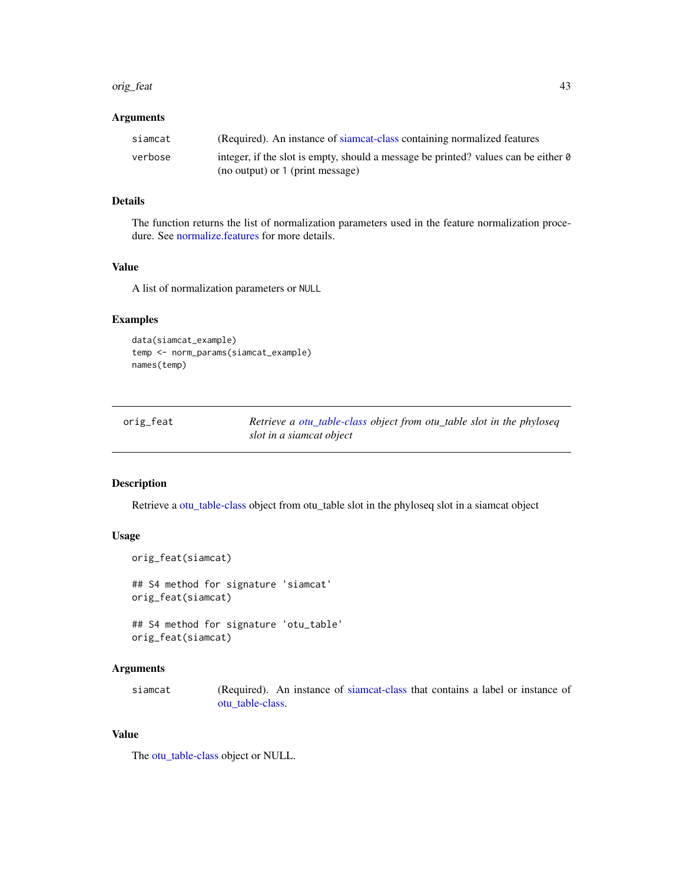#### <span id="page-42-0"></span>orig\_feat 43

#### Arguments

| siamcat | (Required). An instance of siamcat-class containing normalized features                   |
|---------|-------------------------------------------------------------------------------------------|
| verbose | integer, if the slot is empty, should a message be printed? values can be either $\theta$ |
|         | (no output) or 1 (print message)                                                          |

# Details

The function returns the list of normalization parameters used in the feature normalization procedure. See [normalize.features](#page-38-1) for more details.

# Value

A list of normalization parameters or NULL

# Examples

```
data(siamcat_example)
temp <- norm_params(siamcat_example)
names(temp)
```

| orig_feat | Retrieve a otu_table-class object from otu_table slot in the phyloseq |
|-----------|-----------------------------------------------------------------------|
|           | slot in a siamcat object                                              |

# Description

Retrieve a [otu\\_table-class](#page-0-0) object from otu\_table slot in the phyloseq slot in a siamcat object

#### Usage

```
orig_feat(siamcat)
## S4 method for signature 'siamcat'
orig_feat(siamcat)
## S4 method for signature 'otu_table'
```

```
orig_feat(siamcat)
```
# Arguments

siamcat (Required). An instance of [siamcat-class](#page-51-1) that contains a label or instance of [otu\\_table-class.](#page-0-0)

# Value

The [otu\\_table-class](#page-0-0) object or NULL.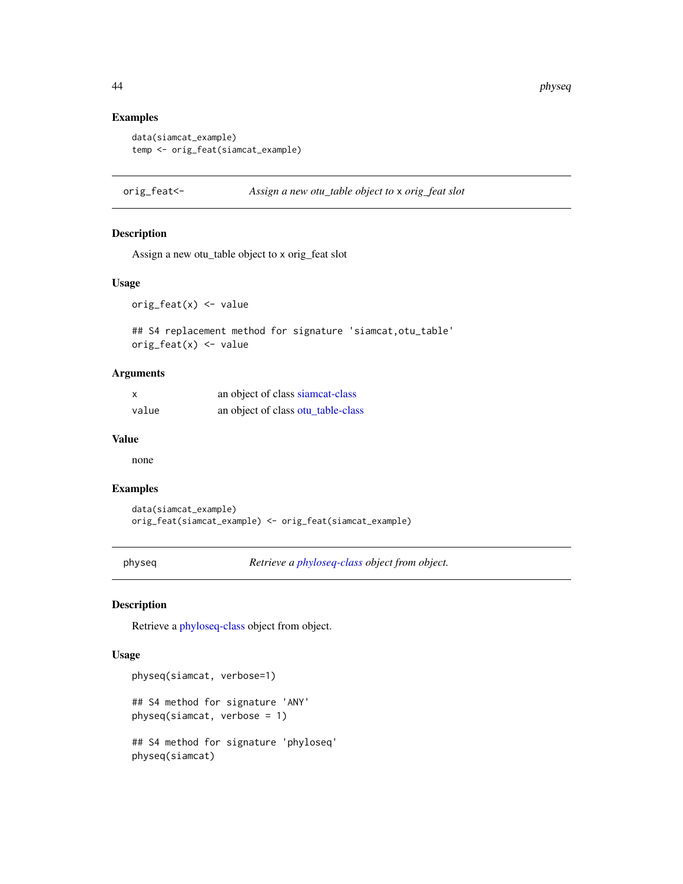# Examples

```
data(siamcat_example)
temp <- orig_feat(siamcat_example)
```
orig\_feat<- *Assign a new otu\_table object to* x *orig\_feat slot*

# Description

Assign a new otu\_table object to x orig\_feat slot

# Usage

orig\_feat(x) <- value

## S4 replacement method for signature 'siamcat,otu\_table'  $orig_feat(x) < -$  value

#### Arguments

| x     | an object of class siamcat-class   |
|-------|------------------------------------|
| value | an object of class otu_table-class |

#### Value

none

#### Examples

data(siamcat\_example) orig\_feat(siamcat\_example) <- orig\_feat(siamcat\_example)

physeq *Retrieve a [phyloseq-class](#page-0-0) object from object.*

#### Description

Retrieve a [phyloseq-class](#page-0-0) object from object.

#### Usage

```
physeq(siamcat, verbose=1)
## S4 method for signature 'ANY'
physeq(siamcat, verbose = 1)
## S4 method for signature 'phyloseq'
physeq(siamcat)
```
<span id="page-43-0"></span>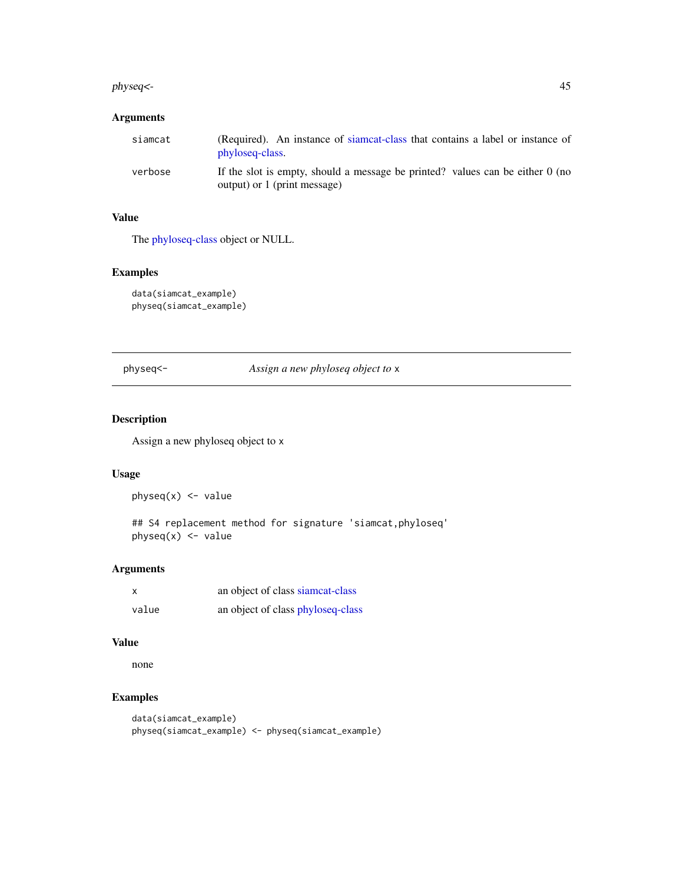#### <span id="page-44-0"></span>physeq<- 45

# Arguments

| siamcat | (Required). An instance of siamcat-class that contains a label or instance of<br>phyloseq-class.              |
|---------|---------------------------------------------------------------------------------------------------------------|
| verbose | If the slot is empty, should a message be printed? values can be either 0 (no<br>output) or 1 (print message) |

# Value

The [phyloseq-class](#page-0-0) object or NULL.

# Examples

```
data(siamcat_example)
physeq(siamcat_example)
```
physeq<- *Assign a new phyloseq object to* x

# Description

Assign a new phyloseq object to x

# Usage

physeq(x) <- value

## S4 replacement method for signature 'siamcat,phyloseq' physeq(x) <- value

# Arguments

|       | an object of class siamcat-class  |
|-------|-----------------------------------|
| value | an object of class phyloseq-class |

# Value

none

```
data(siamcat_example)
physeq(siamcat_example) <- physeq(siamcat_example)
```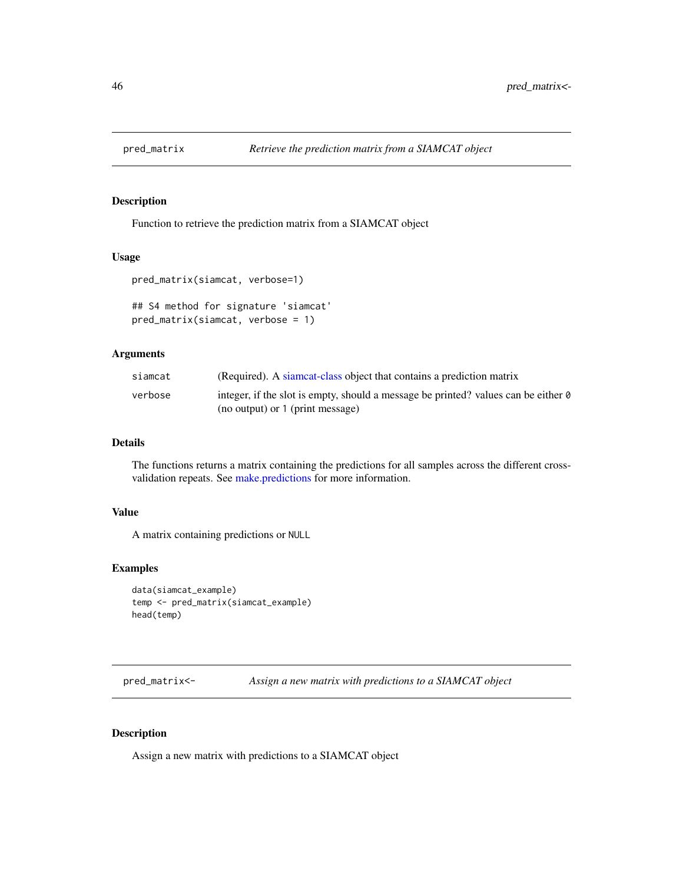<span id="page-45-0"></span>

Function to retrieve the prediction matrix from a SIAMCAT object

# Usage

```
pred_matrix(siamcat, verbose=1)
```

```
## S4 method for signature 'siamcat'
pred_matrix(siamcat, verbose = 1)
```
#### Arguments

| siamcat | (Required). A siamcat-class object that contains a prediction matrix               |
|---------|------------------------------------------------------------------------------------|
| verbose | integer, if the slot is empty, should a message be printed? values can be either 0 |
|         | (no output) or 1 (print message)                                                   |

# Details

The functions returns a matrix containing the predictions for all samples across the different crossvalidation repeats. See [make.predictions](#page-29-3) for more information.

### Value

A matrix containing predictions or NULL

#### Examples

```
data(siamcat_example)
temp <- pred_matrix(siamcat_example)
head(temp)
```
pred\_matrix<- *Assign a new matrix with predictions to a SIAMCAT object*

#### Description

Assign a new matrix with predictions to a SIAMCAT object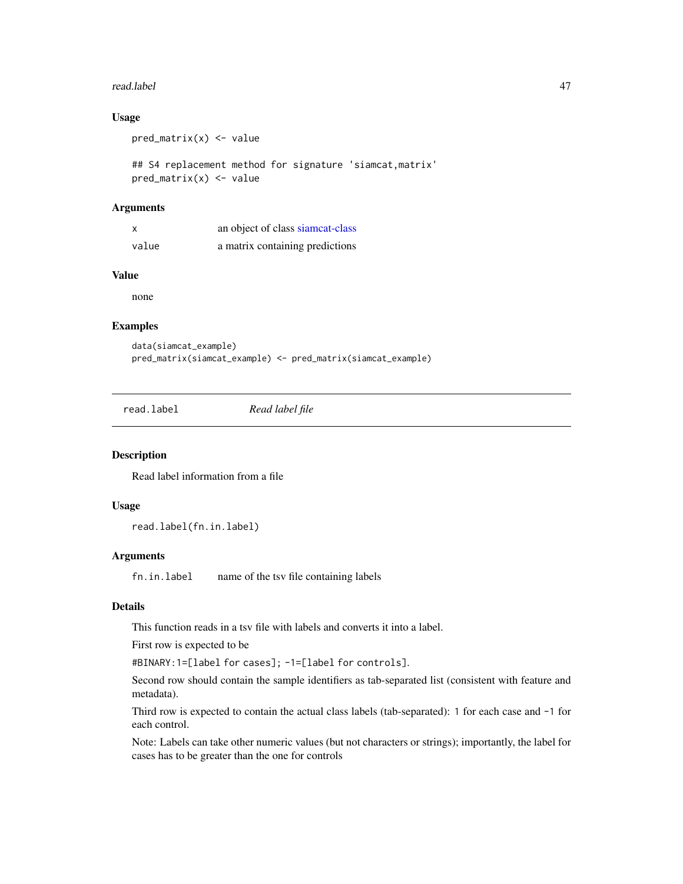#### <span id="page-46-0"></span>read.label 47

# Usage

 $pred_matrix(x) < - value$ 

## S4 replacement method for signature 'siamcat,matrix'  $pred_matrix(x) < - value$ 

#### Arguments

| X     | an object of class siamcat-class |
|-------|----------------------------------|
| value | a matrix containing predictions  |

#### Value

none

# Examples

```
data(siamcat_example)
pred_matrix(siamcat_example) <- pred_matrix(siamcat_example)
```
<span id="page-46-1"></span>read.label *Read label file*

#### Description

Read label information from a file

# Usage

read.label(fn.in.label)

# Arguments

fn.in.label name of the tsv file containing labels

# Details

This function reads in a tsv file with labels and converts it into a label.

First row is expected to be

#BINARY:1=[label for cases]; -1=[label for controls].

Second row should contain the sample identifiers as tab-separated list (consistent with feature and metadata).

Third row is expected to contain the actual class labels (tab-separated): 1 for each case and -1 for each control.

Note: Labels can take other numeric values (but not characters or strings); importantly, the label for cases has to be greater than the one for controls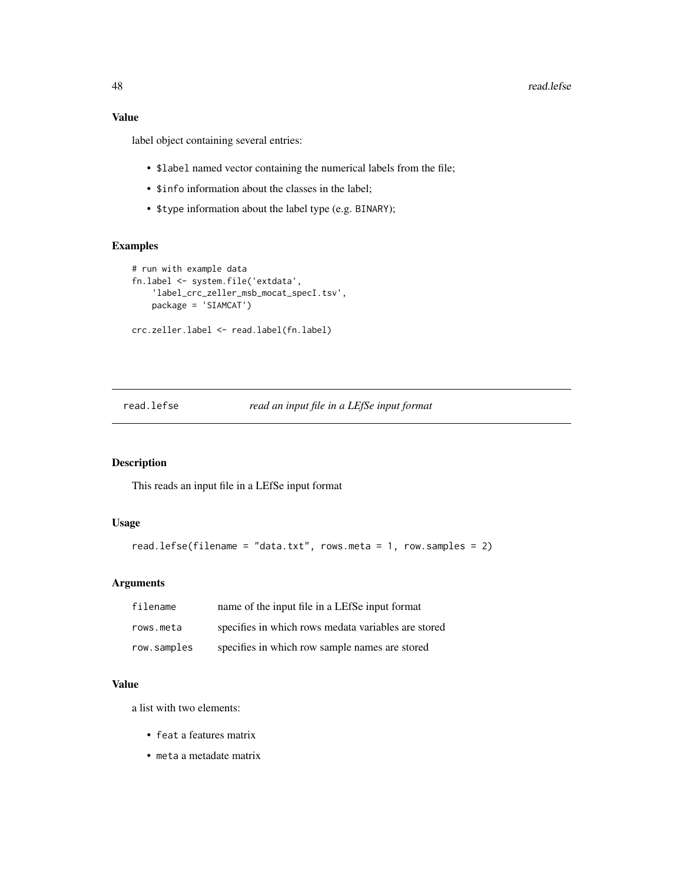# <span id="page-47-0"></span>Value

label object containing several entries:

- \$label named vector containing the numerical labels from the file;
- \$info information about the classes in the label;
- \$type information about the label type (e.g. BINARY);

# Examples

```
# run with example data
fn.label <- system.file('extdata',
   'label_crc_zeller_msb_mocat_specI.tsv',
   package = 'SIAMCAT')
crc.zeller.label <- read.label(fn.label)
```
read.lefse *read an input file in a LEfSe input format*

# Description

This reads an input file in a LEfSe input format

# Usage

```
read.lefse(filename = "data.txt", rows.meta = 1, row.samples = 2)
```
# Arguments

| filename    | name of the input file in a LEfSe input format      |
|-------------|-----------------------------------------------------|
| rows.meta   | specifies in which rows medata variables are stored |
| row.samples | specifies in which row sample names are stored      |

# Value

a list with two elements:

- feat a features matrix
- meta a metadate matrix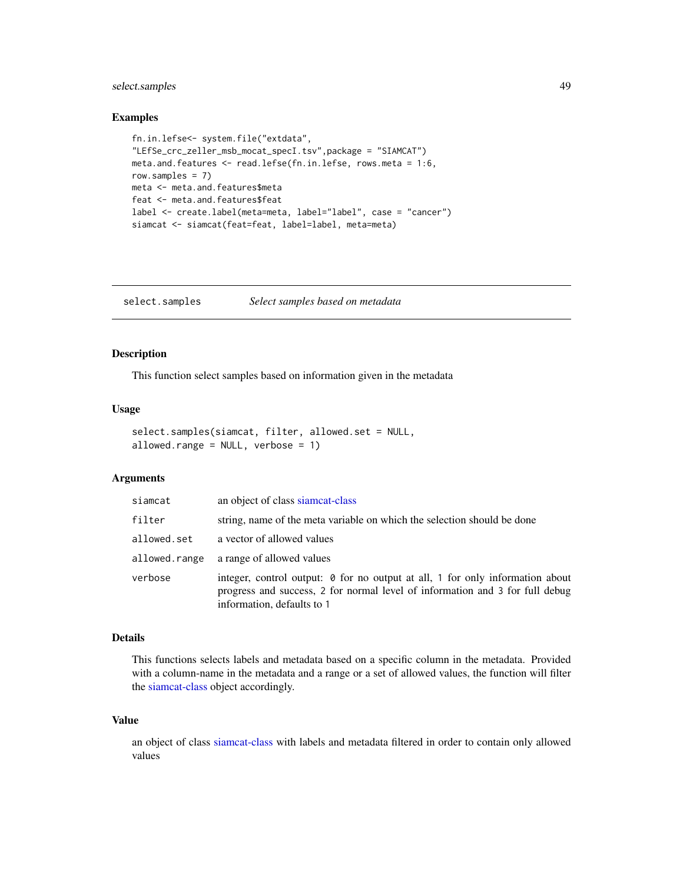# <span id="page-48-0"></span>select.samples 49

#### Examples

```
fn.in.lefse<- system.file("extdata",
"LEfSe_crc_zeller_msb_mocat_specI.tsv",package = "SIAMCAT")
meta.and.features <- read.lefse(fn.in.lefse, rows.meta = 1:6,
row.samples = 7)
meta <- meta.and.features$meta
feat <- meta.and.features$feat
label <- create.label(meta=meta, label="label", case = "cancer")
siamcat <- siamcat(feat=feat, label=label, meta=meta)
```
select.samples *Select samples based on metadata*

#### Description

This function select samples based on information given in the metadata

#### Usage

```
select.samples(siamcat, filter, allowed.set = NULL,
allowed.range = NULL, verbose = 1)
```
# Arguments

| siamcat       | an object of class siamcat-class                                                                                                                                                            |
|---------------|---------------------------------------------------------------------------------------------------------------------------------------------------------------------------------------------|
| filter        | string, name of the meta variable on which the selection should be done                                                                                                                     |
| allowed.set   | a vector of allowed values                                                                                                                                                                  |
| allowed.range | a range of allowed values                                                                                                                                                                   |
| verbose       | integer, control output: 0 for no output at all, 1 for only information about<br>progress and success, 2 for normal level of information and 3 for full debug<br>information, defaults to 1 |

#### Details

This functions selects labels and metadata based on a specific column in the metadata. Provided with a column-name in the metadata and a range or a set of allowed values, the function will filter the [siamcat-class](#page-51-1) object accordingly.

# Value

an object of class [siamcat-class](#page-51-1) with labels and metadata filtered in order to contain only allowed values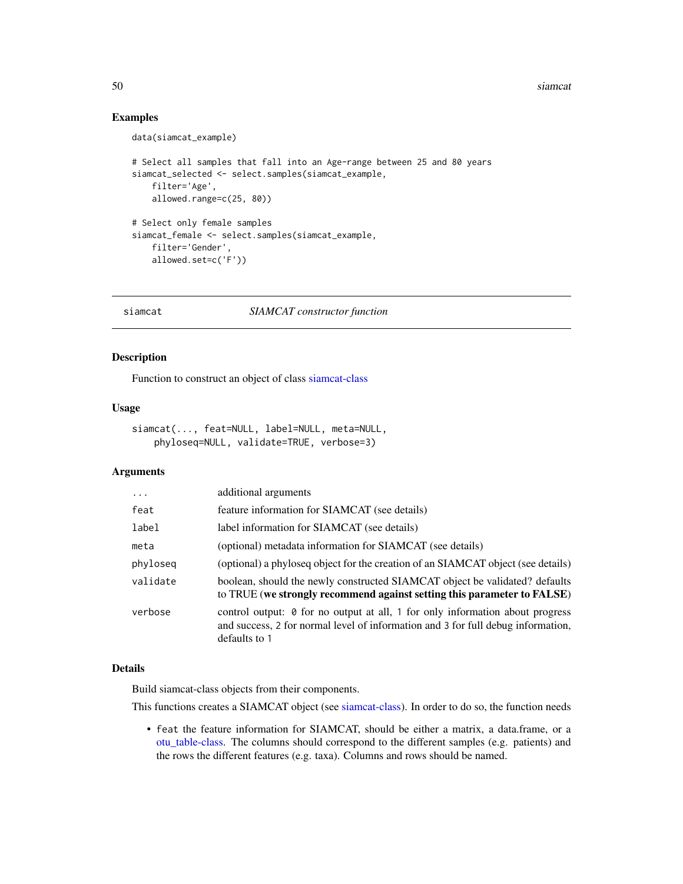#### 50 siamcat and the signal state of the signal state of the signal state of the signal state of the signal state of the signal state of the signal state of the signal state of the signal state of the signal state of the sig

#### Examples

```
data(siamcat_example)
```

```
# Select all samples that fall into an Age-range between 25 and 80 years
siamcat_selected <- select.samples(siamcat_example,
   filter='Age',
   allowed.range=c(25, 80))
# Select only female samples
siamcat_female <- select.samples(siamcat_example,
   filter='Gender',
   allowed.set=c('F'))
```
<span id="page-49-1"></span>

#### siamcat *SIAMCAT constructor function*

# Description

Function to construct an object of class [siamcat-class](#page-51-1)

#### Usage

```
siamcat(..., feat=NULL, label=NULL, meta=NULL,
   phyloseq=NULL, validate=TRUE, verbose=3)
```
# Arguments

| $\cdots$ | additional arguments                                                                                                                                                               |
|----------|------------------------------------------------------------------------------------------------------------------------------------------------------------------------------------|
| feat     | feature information for SIAMCAT (see details)                                                                                                                                      |
| label    | label information for SIAMCAT (see details)                                                                                                                                        |
| meta     | (optional) metadata information for SIAMCAT (see details)                                                                                                                          |
| phyloseq | (optional) a phyloseq object for the creation of an SIAMCAT object (see details)                                                                                                   |
| validate | boolean, should the newly constructed SIAMCAT object be validated? defaults<br>to TRUE (we strongly recommend against setting this parameter to FALSE)                             |
| verbose  | control output: 0 for no output at all, 1 for only information about progress<br>and success, 2 for normal level of information and 3 for full debug information,<br>defaults to 1 |

# Details

Build siamcat-class objects from their components.

This functions creates a SIAMCAT object (see [siamcat-class\)](#page-51-1). In order to do so, the function needs

• feat the feature information for SIAMCAT, should be either a matrix, a data.frame, or a [otu\\_table-class.](#page-0-0) The columns should correspond to the different samples (e.g. patients) and the rows the different features (e.g. taxa). Columns and rows should be named.

<span id="page-49-0"></span>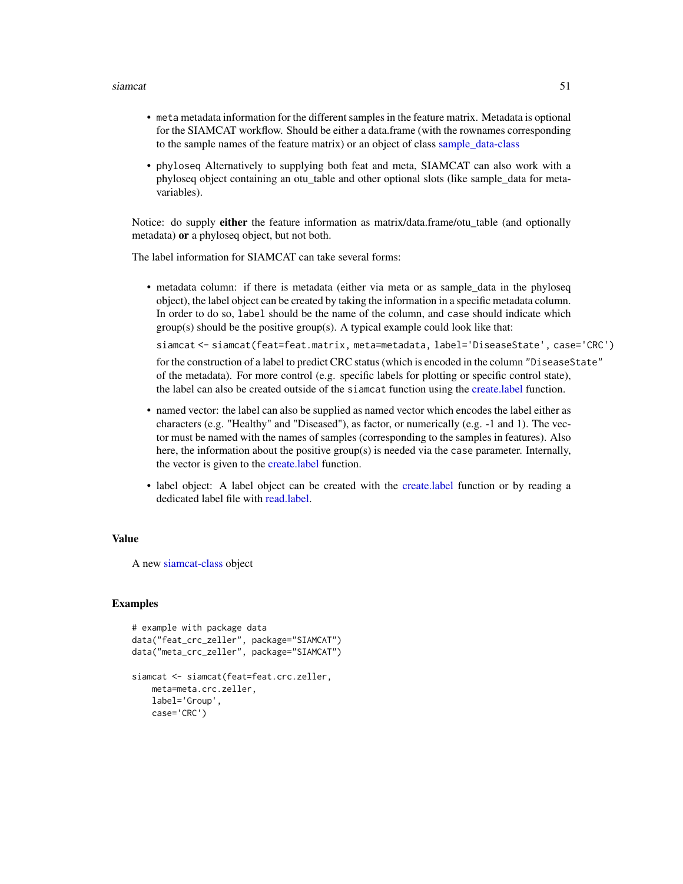#### <span id="page-50-0"></span>siamcat 51

- meta metadata information for the different samples in the feature matrix. Metadata is optional for the SIAMCAT workflow. Should be either a data.frame (with the rownames corresponding to the sample names of the feature matrix) or an object of class [sample\\_data-class](#page-0-0)
- phyloseq Alternatively to supplying both feat and meta, SIAMCAT can also work with a phyloseq object containing an otu\_table and other optional slots (like sample\_data for metavariables).

Notice: do supply either the feature information as matrix/data.frame/otu table (and optionally metadata) or a phyloseq object, but not both.

The label information for SIAMCAT can take several forms:

• metadata column: if there is metadata (either via meta or as sample\_data in the phyloseq object), the label object can be created by taking the information in a specific metadata column. In order to do so, label should be the name of the column, and case should indicate which  $group(s)$  should be the positive group(s). A typical example could look like that:

```
siamcat <- siamcat(feat=feat.matrix, meta=metadata, label='DiseaseState', case='CRC')
```
for the construction of a label to predict CRC status (which is encoded in the column "DiseaseState" of the metadata). For more control (e.g. specific labels for plotting or specific control state), the label can also be created outside of the siamcat function using the [create.label](#page-13-1) function.

- named vector: the label can also be supplied as named vector which encodes the label either as characters (e.g. "Healthy" and "Diseased"), as factor, or numerically (e.g. -1 and 1). The vector must be named with the names of samples (corresponding to the samples in features). Also here, the information about the positive group(s) is needed via the case parameter. Internally, the vector is given to the [create.label](#page-13-1) function.
- label object: A label object can be created with the [create.label](#page-13-1) function or by reading a dedicated label file with [read.label.](#page-46-1)

#### Value

A new [siamcat-class](#page-51-1) object

```
# example with package data
data("feat_crc_zeller", package="SIAMCAT")
data("meta_crc_zeller", package="SIAMCAT")
siamcat <- siamcat(feat=feat.crc.zeller,
   meta=meta.crc.zeller,
    label='Group',
    case='CRC')
```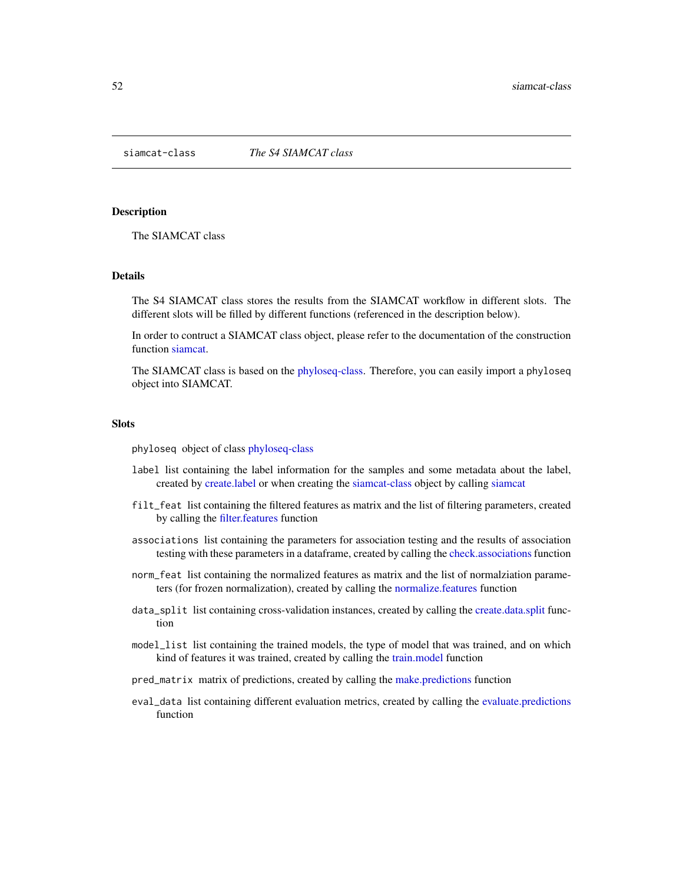<span id="page-51-1"></span><span id="page-51-0"></span>

The SIAMCAT class

# Details

The S4 SIAMCAT class stores the results from the SIAMCAT workflow in different slots. The different slots will be filled by different functions (referenced in the description below).

In order to contruct a SIAMCAT class object, please refer to the documentation of the construction function [siamcat.](#page-49-1)

The SIAMCAT class is based on the [phyloseq-class.](#page-0-0) Therefore, you can easily import a phyloseq object into SIAMCAT.

#### **Slots**

phyloseq object of class [phyloseq-class](#page-0-0)

- label list containing the label information for the samples and some metadata about the label, created by [create.label](#page-13-1) or when creating the [siamcat-class](#page-51-1) object by calling [siamcat](#page-49-1)
- filt\_feat list containing the filtered features as matrix and the list of filtering parameters, created by calling the [filter.features](#page-20-1) function
- associations list containing the parameters for association testing and the results of association testing with these parameters in a dataframe, created by calling the [check.associations](#page-9-1) function
- norm\_feat list containing the normalized features as matrix and the list of normalziation parameters (for frozen normalization), created by calling the [normalize.features](#page-38-1) function
- data\_split list containing cross-validation instances, created by calling the [create.data.split](#page-12-1) function
- model\_list list containing the trained models, the type of model that was trained, and on which kind of features it was trained, created by calling the [train.model](#page-53-1) function
- pred\_matrix matrix of predictions, created by calling the [make.predictions](#page-29-3) function
- eval\_data list containing different evaluation metrics, created by calling the [evaluate.predictions](#page-15-1) function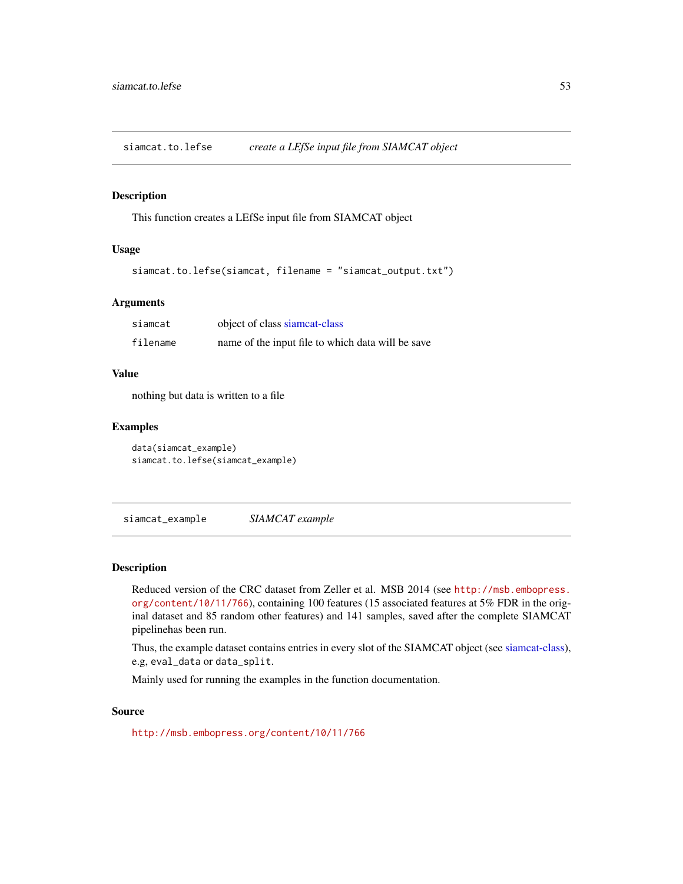<span id="page-52-0"></span>siamcat.to.lefse *create a LEfSe input file from SIAMCAT object*

# Description

This function creates a LEfSe input file from SIAMCAT object

#### Usage

```
siamcat.to.lefse(siamcat, filename = "siamcat_output.txt")
```
#### **Arguments**

| siamcat  | object of class siamcat-class                     |
|----------|---------------------------------------------------|
| filename | name of the input file to which data will be save |

# Value

nothing but data is written to a file

#### Examples

data(siamcat\_example) siamcat.to.lefse(siamcat\_example)

siamcat\_example *SIAMCAT example*

#### Description

Reduced version of the CRC dataset from Zeller et al. MSB 2014 (see [http://msb.embopress.](http://msb.embopress.org/content/10/11/766) [org/content/10/11/766](http://msb.embopress.org/content/10/11/766)), containing 100 features (15 associated features at 5% FDR in the original dataset and 85 random other features) and 141 samples, saved after the complete SIAMCAT pipelinehas been run.

Thus, the example dataset contains entries in every slot of the SIAMCAT object (see [siamcat-class\)](#page-51-1), e.g, eval\_data or data\_split.

Mainly used for running the examples in the function documentation.

# Source

<http://msb.embopress.org/content/10/11/766>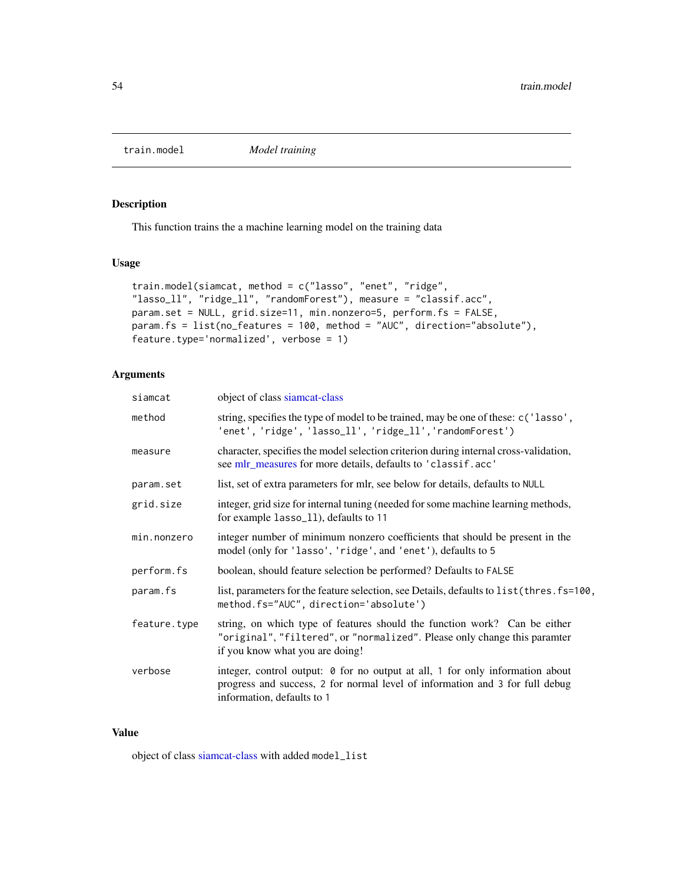<span id="page-53-1"></span><span id="page-53-0"></span>

This function trains the a machine learning model on the training data

### Usage

```
train.model(siamcat, method = c("lasso", "enet", "ridge",
"lasso_ll", "ridge_ll", "randomForest"), measure = "classif.acc",
param.set = NULL, grid.size=11, min.nonzero=5, perform.fs = FALSE,
param.fs = list(no_features = 100, method = "AUC", direction="absolute"),
feature.type='normalized', verbose = 1)
```
# Arguments

| siamcat      | object of class siamcat-class                                                                                                                                                               |
|--------------|---------------------------------------------------------------------------------------------------------------------------------------------------------------------------------------------|
| method       | string, specifies the type of model to be trained, may be one of these: c('lasso',<br>'enet', 'ridge', 'lasso_ll', 'ridge_ll', 'randomForest')                                              |
| measure      | character, specifies the model selection criterion during internal cross-validation,<br>see mlr_measures for more details, defaults to 'classif.acc'                                        |
| param.set    | list, set of extra parameters for mlr, see below for details, defaults to NULL                                                                                                              |
| grid.size    | integer, grid size for internal tuning (needed for some machine learning methods,<br>for example lasso_11), defaults to 11                                                                  |
| min.nonzero  | integer number of minimum nonzero coefficients that should be present in the<br>model (only for 'lasso', 'ridge', and 'enet'), defaults to 5                                                |
| perform.fs   | boolean, should feature selection be performed? Defaults to FALSE                                                                                                                           |
| param.fs     | list, parameters for the feature selection, see Details, defaults to list (thres. fs=100,<br>method.fs="AUC", direction='absolute')                                                         |
| feature.type | string, on which type of features should the function work? Can be either<br>"original", "filtered", or "normalized". Please only change this paramter<br>if you know what you are doing!   |
| verbose      | integer, control output: 0 for no output at all, 1 for only information about<br>progress and success, 2 for normal level of information and 3 for full debug<br>information, defaults to 1 |

#### Value

object of class [siamcat-class](#page-51-1) with added model\_list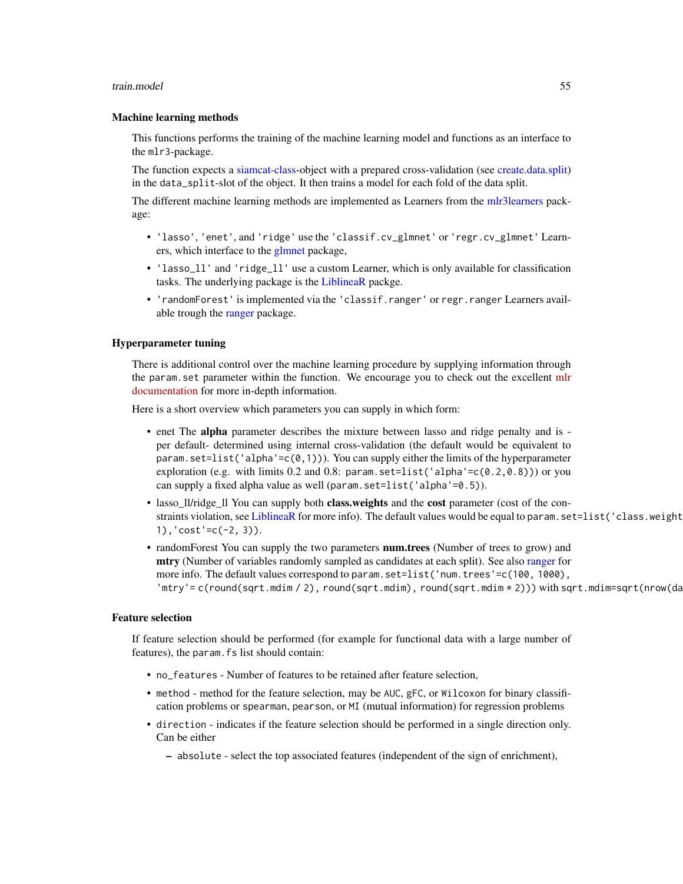#### <span id="page-54-0"></span>train.model 55

#### Machine learning methods

This functions performs the training of the machine learning model and functions as an interface to the mlr3-package.

The function expects a [siamcat-class-](#page-51-1)object with a prepared cross-validation (see [create.data.split\)](#page-12-1) in the data\_split-slot of the object. It then trains a model for each fold of the data split.

The different machine learning methods are implemented as Learners from the [mlr3learners](#page-0-0) package:

- 'lasso', 'enet', and 'ridge' use the 'classif.cv\_glmnet' or 'regr.cv\_glmnet' Learners, which interface to the [glmnet](#page-0-0) package,
- 'lasso\_ll' and 'ridge\_ll' use a custom Learner, which is only available for classification tasks. The underlying package is the [LiblineaR](#page-0-0) packge.
- 'randomForest' is implemented via the 'classif.ranger' or regr.ranger Learners available trough the [ranger](#page-0-0) package.

#### Hyperparameter tuning

There is additional control over the machine learning procedure by supplying information through the param. set parameter within the function. We encourage you to check out the excellent [mlr](https://mlr3book.mlr-org.com/optimization.html) [documentation](https://mlr3book.mlr-org.com/optimization.html) for more in-depth information.

Here is a short overview which parameters you can supply in which form:

- enet The alpha parameter describes the mixture between lasso and ridge penalty and is per default- determined using internal cross-validation (the default would be equivalent to param. set=list('alpha'=c( $(0,1)$ )). You can supply either the limits of the hyperparameter exploration (e.g. with limits 0.2 and 0.8: param.set=list('alpha'=c(0.2,0.8))) or you can supply a fixed alpha value as well (param.set=list('alpha'=0.5)).
- lasso\_ll/ridge\_ll You can supply both class.weights and the cost parameter (cost of the con-straints violation, see [LiblineaR](#page-0-0) for more info). The default values would be equal to param. set=list('class.weight 1),  $\text{cost}' = c(-2, 3)$ .
- randomForest You can supply the two parameters **num.trees** (Number of trees to grow) and mtry (Number of variables randomly sampled as candidates at each split). See also [ranger](#page-0-0) for more info. The default values correspond to param.set=list('num.trees'=c(100, 1000), 'mtry'= c(round(sqrt.mdim / 2), round(sqrt.mdim), round(sqrt.mdim  $*$  2))) with sqrt.mdim=sqrt(nrow(da

#### Feature selection

If feature selection should be performed (for example for functional data with a large number of features), the param. fs list should contain:

- no\_features Number of features to be retained after feature selection,
- method method for the feature selection, may be AUC, gFC, or Wilcoxon for binary classification problems or spearman, pearson, or MI (mutual information) for regression problems
- direction indicates if the feature selection should be performed in a single direction only. Can be either
	- absolute select the top associated features (independent of the sign of enrichment),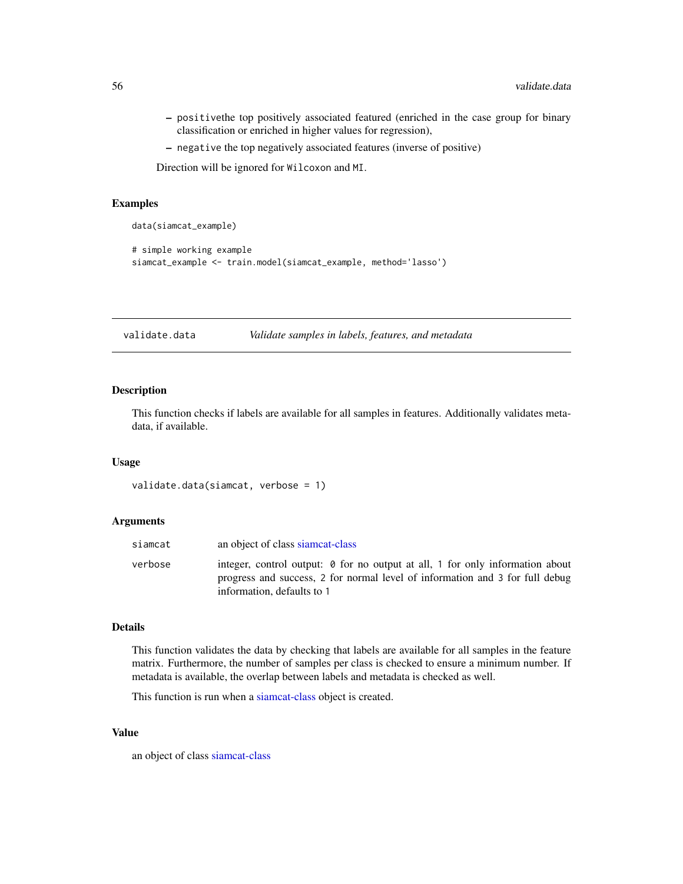- positivethe top positively associated featured (enriched in the case group for binary classification or enriched in higher values for regression),
- negative the top negatively associated features (inverse of positive)

Direction will be ignored for Wilcoxon and MI.

# Examples

```
data(siamcat_example)
# simple working example
siamcat_example <- train.model(siamcat_example, method='lasso')
```
<span id="page-55-1"></span>validate.data *Validate samples in labels, features, and metadata*

# Description

This function checks if labels are available for all samples in features. Additionally validates metadata, if available.

#### Usage

```
validate.data(siamcat, verbose = 1)
```
#### Arguments

| siamcat | an object of class siame at-class                                                                                                                                                           |
|---------|---------------------------------------------------------------------------------------------------------------------------------------------------------------------------------------------|
| verbose | integer, control output: 0 for no output at all, 1 for only information about<br>progress and success, 2 for normal level of information and 3 for full debug<br>information, defaults to 1 |

#### Details

This function validates the data by checking that labels are available for all samples in the feature matrix. Furthermore, the number of samples per class is checked to ensure a minimum number. If metadata is available, the overlap between labels and metadata is checked as well.

This function is run when a [siamcat-class](#page-51-1) object is created.

#### Value

an object of class [siamcat-class](#page-51-1)

<span id="page-55-0"></span>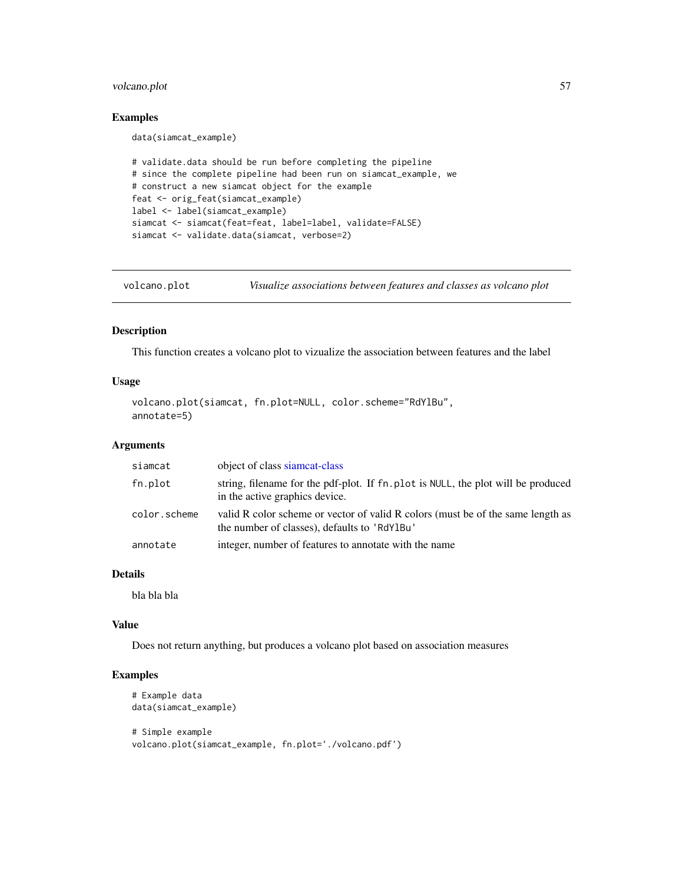# <span id="page-56-0"></span>volcano.plot 57

# Examples

data(siamcat\_example)

```
# validate.data should be run before completing the pipeline
# since the complete pipeline had been run on siamcat_example, we
# construct a new siamcat object for the example
feat <- orig_feat(siamcat_example)
label <- label(siamcat_example)
siamcat <- siamcat(feat=feat, label=label, validate=FALSE)
siamcat <- validate.data(siamcat, verbose=2)
```
volcano.plot *Visualize associations between features and classes as volcano plot*

# Description

This function creates a volcano plot to vizualize the association between features and the label

# Usage

```
volcano.plot(siamcat, fn.plot=NULL, color.scheme="RdYlBu",
annotate=5)
```
#### Arguments

| siamcat      | object of class siamcat-class                                                                                                   |
|--------------|---------------------------------------------------------------------------------------------------------------------------------|
| fn.plot      | string, filename for the pdf-plot. If fn. plot is NULL, the plot will be produced<br>in the active graphics device.             |
| color.scheme | valid R color scheme or vector of valid R colors (must be of the same length as<br>the number of classes), defaults to 'RdY1Bu' |
| annotate     | integer, number of features to annotate with the name                                                                           |

# Details

bla bla bla

# Value

Does not return anything, but produces a volcano plot based on association measures

```
# Example data
data(siamcat_example)
# Simple example
volcano.plot(siamcat_example, fn.plot='./volcano.pdf')
```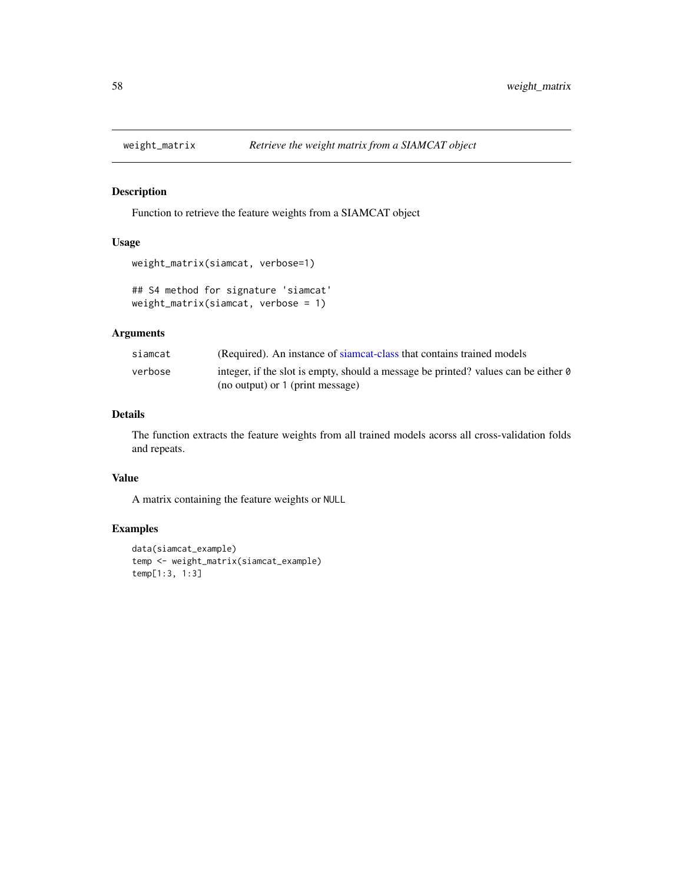<span id="page-57-1"></span><span id="page-57-0"></span>

Function to retrieve the feature weights from a SIAMCAT object

# Usage

```
weight_matrix(siamcat, verbose=1)
```
## S4 method for signature 'siamcat' weight\_matrix(siamcat, verbose = 1)

# Arguments

| siamcat | (Required). An instance of siamcat-class that contains trained models                     |
|---------|-------------------------------------------------------------------------------------------|
| verbose | integer, if the slot is empty, should a message be printed? values can be either $\theta$ |
|         | (no output) or 1 (print message)                                                          |

# Details

The function extracts the feature weights from all trained models acorss all cross-validation folds and repeats.

# Value

A matrix containing the feature weights or NULL

```
data(siamcat_example)
temp <- weight_matrix(siamcat_example)
temp[1:3, 1:3]
```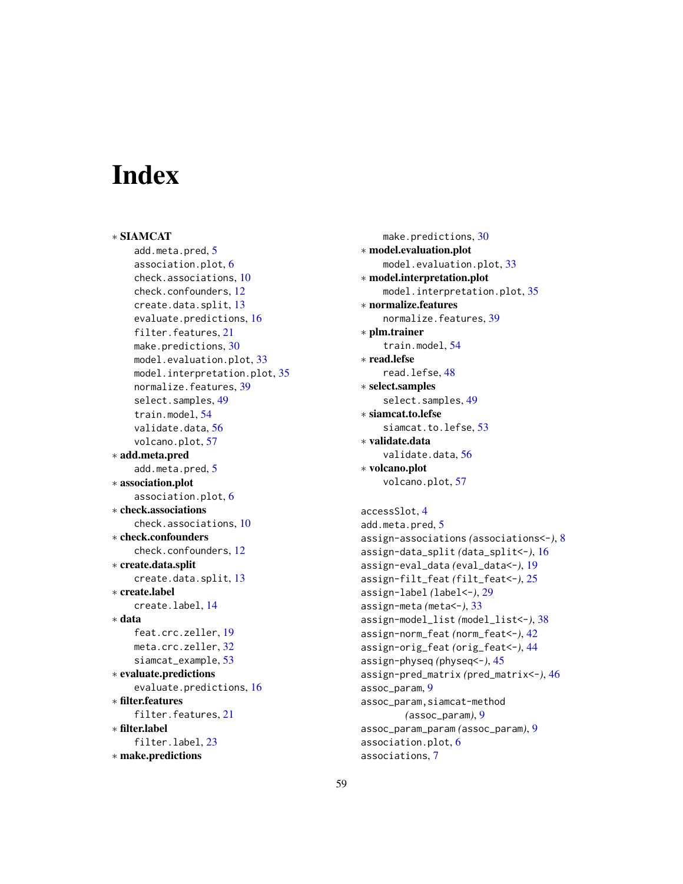# <span id="page-58-0"></span>**Index**

∗ SIAMCAT add.meta.pred, [5](#page-4-0) association.plot, [6](#page-5-0) check.associations, [10](#page-9-0) check.confounders, [12](#page-11-0) create.data.split, [13](#page-12-0) evaluate.predictions, [16](#page-15-0) filter.features, [21](#page-20-0) make.predictions, [30](#page-29-0) model.evaluation.plot, [33](#page-32-0) model.interpretation.plot, [35](#page-34-0) normalize.features, [39](#page-38-0) select.samples, [49](#page-48-0) train.model, [54](#page-53-0) validate.data, [56](#page-55-0) volcano.plot, [57](#page-56-0) ∗ add.meta.pred add.meta.pred, [5](#page-4-0) ∗ association.plot association.plot, [6](#page-5-0) ∗ check.associations check.associations, [10](#page-9-0) ∗ check.confounders check.confounders, [12](#page-11-0) ∗ create.data.split create.data.split, [13](#page-12-0) ∗ create.label create.label, [14](#page-13-0) ∗ data feat.crc.zeller, [19](#page-18-0) meta.crc.zeller, [32](#page-31-0) siamcat\_example, [53](#page-52-0) ∗ evaluate.predictions evaluate.predictions, [16](#page-15-0) ∗ filter.features filter.features, [21](#page-20-0) ∗ filter.label filter.label, [23](#page-22-0) ∗ make.predictions

make.predictions, [30](#page-29-0) ∗ model.evaluation.plot model.evaluation.plot, [33](#page-32-0) ∗ model.interpretation.plot model.interpretation.plot, [35](#page-34-0) ∗ normalize.features normalize.features, [39](#page-38-0) ∗ plm.trainer train.model, [54](#page-53-0) ∗ read.lefse read.lefse, [48](#page-47-0) ∗ select.samples select.samples, [49](#page-48-0) ∗ siamcat.to.lefse siamcat.to.lefse, [53](#page-52-0) ∗ validate.data validate.data, [56](#page-55-0) ∗ volcano.plot volcano.plot, [57](#page-56-0) accessSlot, [4](#page-3-0) add.meta.pred, [5](#page-4-0) assign-associations *(*associations<-*)*, [8](#page-7-0) assign-data\_split *(*data\_split<-*)*, [16](#page-15-0) assign-eval\_data *(*eval\_data<-*)*, [19](#page-18-0) assign-filt\_feat *(*filt\_feat<-*)*, [25](#page-24-0) assign-label *(*label<-*)*, [29](#page-28-0)

```
assign-meta (meta<-), 33
assign-model_list (model_list<-), 38
assign-norm_feat (norm_feat<-), 42
assign-orig_feat (orig_feat<-), 44
assign-physeq (physeq<-), 45
assign-pred_matrix (pred_matrix<-), 46
assoc_param, 9
assoc_param,siamcat-method
        (assoc_param), 9
assoc_param_param (assoc_param), 9
association.plot, 6
associations, 7
```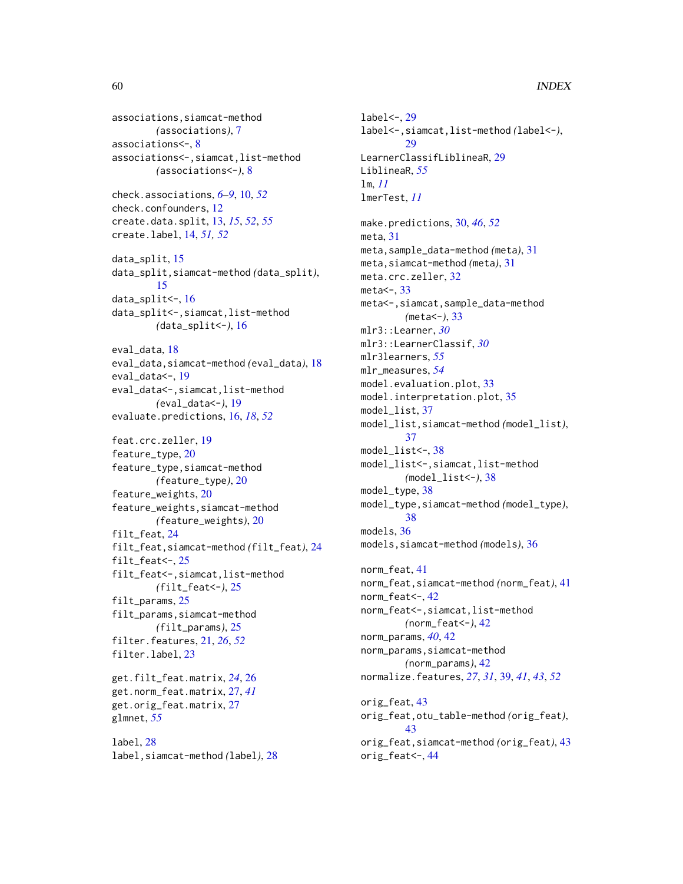associations,siamcat-method *(*associations*)*, [7](#page-6-0) associations<-, [8](#page-7-0) associations<-,siamcat,list-method *(*associations<-*)*, [8](#page-7-0) check.associations, *[6–](#page-5-0)[9](#page-8-0)*, [10,](#page-9-0) *[52](#page-51-0)* check.confounders, [12](#page-11-0) create.data.split, [13,](#page-12-0) *[15](#page-14-0)*, *[52](#page-51-0)*, *[55](#page-54-0)* create.label, [14,](#page-13-0) *[51,](#page-50-0) [52](#page-51-0)* data\_split, [15](#page-14-0) data\_split,siamcat-method *(*data\_split*)*, [15](#page-14-0) data\_split<-, [16](#page-15-0) data\_split<-,siamcat,list-method *(*data\_split<-*)*, [16](#page-15-0) eval\_data, [18](#page-17-0) eval\_data,siamcat-method *(*eval\_data*)*, [18](#page-17-0) eval\_data<-, [19](#page-18-0) eval\_data<-,siamcat,list-method *(*eval\_data<-*)*, [19](#page-18-0) evaluate.predictions, [16,](#page-15-0) *[18](#page-17-0)*, *[52](#page-51-0)* feat.crc.zeller, [19](#page-18-0) feature\_type, [20](#page-19-0) feature\_type,siamcat-method *(*feature\_type*)*, [20](#page-19-0) feature\_weights, [20](#page-19-0) feature\_weights,siamcat-method *(*feature\_weights*)*, [20](#page-19-0) filt\_feat, [24](#page-23-0) filt\_feat,siamcat-method *(*filt\_feat*)*, [24](#page-23-0) filt\_feat < $-$ , [25](#page-24-0) filt\_feat<-,siamcat,list-method *(*filt\_feat<-*)*, [25](#page-24-0) filt\_params, [25](#page-24-0) filt\_params,siamcat-method *(*filt\_params*)*, [25](#page-24-0) filter.features, [21,](#page-20-0) *[26](#page-25-0)*, *[52](#page-51-0)* filter.label, [23](#page-22-0) get.filt\_feat.matrix, *[24](#page-23-0)*, [26](#page-25-0) get.norm\_feat.matrix, [27,](#page-26-0) *[41](#page-40-0)* get.orig\_feat.matrix, [27](#page-26-0) glmnet, *[55](#page-54-0)* label, [28](#page-27-0) label,siamcat-method *(*label*)*, [28](#page-27-0)

```
label<-, 29
label<-,siamcat,list-method (label<-),
        29
LearnerClassifLiblineaR, 29
LiblineaR, 55
lm, 11
lmerTest, 11
make.predictions, 30, 46, 52
meta, 31
meta,sample_data-method (meta), 31
meta,siamcat-method (meta), 31
meta.crc.zeller, 32
meta\leftarrow33
meta<-,siamcat,sample_data-method
        (meta<-), 33
mlr3::Learner, 30
mlr3::LearnerClassif, 30
mlr3learners, 55
mlr_measures, 54
model.evaluation.plot, 33
model.interpretation.plot, 35
model_list, 37
model_list,siamcat-method (model_list),
        37
model_list<-, 38
model_list<-,siamcat,list-method
        (model_list<-), 38
model_type, 38
model_type,siamcat-method (model_type),
        38
models, 36
models,siamcat-method (models), 36
norm_feat, 41
norm_feat,siamcat-method (norm_feat), 41
norm_feat<-, 42
norm_feat<-,siamcat,list-method
        (norm_feat<-), 42
norm_params, 40, 42
norm_params,siamcat-method
        (norm_params), 42
normalize.features, 27, 31, 39, 41, 43, 52
orig_feat, 43
orig_feat,otu_table-method (orig_feat),
        43
orig_feat,siamcat-method (orig_feat), 43
```
orig\_feat<-, [44](#page-43-0)